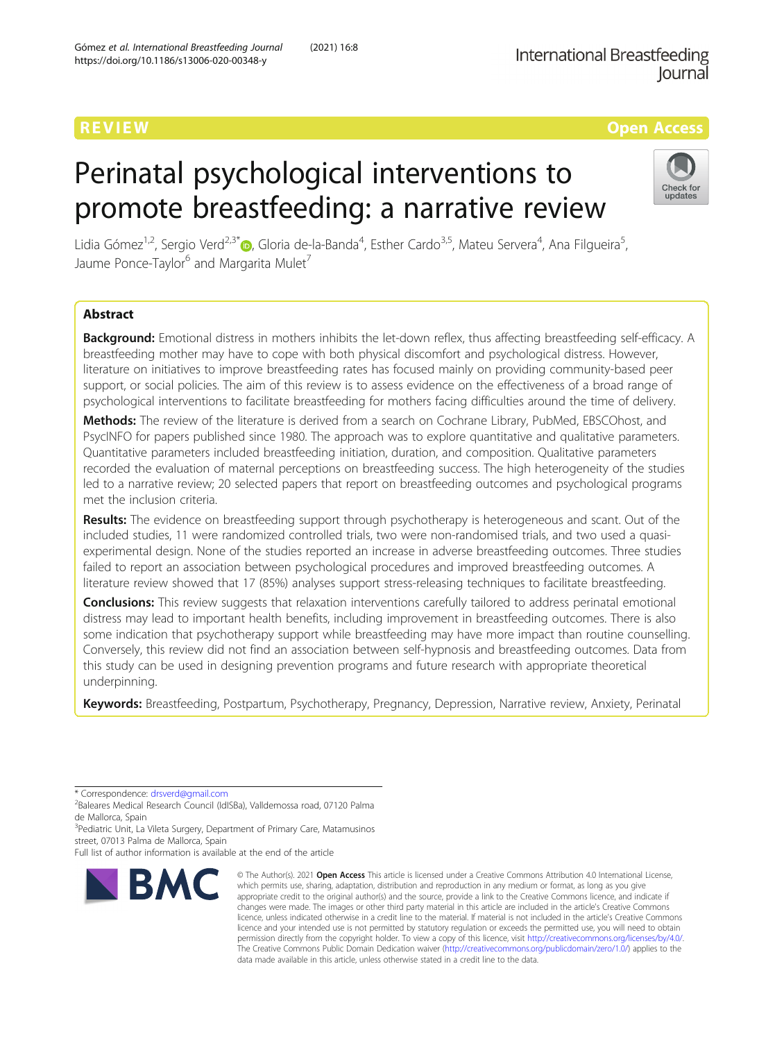# REVIEW AND REVIEW IN THE SERVICE OF THE SERVICE OF THE SERVICE OF THE SERVICE OF THE SERVICE OF THE SERVICE OF

# Perinatal psychological interventions to promote breastfeeding: a narrative review



Lidia Gómez<sup>1[,](http://orcid.org/0000-0002-2612-0794)2</sup>, Sergio Verd<sup>2,3\*</sup>®, Gloria de-la-Banda<sup>4</sup>, Esther Cardo<sup>3,5</sup>, Mateu Servera<sup>4</sup>, Ana Filgueira<sup>5</sup> , Jaume Ponce-Taylor<sup>6</sup> and Margarita Mulet<sup>7</sup>

# Abstract

Background: Emotional distress in mothers inhibits the let-down reflex, thus affecting breastfeeding self-efficacy. A breastfeeding mother may have to cope with both physical discomfort and psychological distress. However, literature on initiatives to improve breastfeeding rates has focused mainly on providing community-based peer support, or social policies. The aim of this review is to assess evidence on the effectiveness of a broad range of psychological interventions to facilitate breastfeeding for mothers facing difficulties around the time of delivery.

Methods: The review of the literature is derived from a search on Cochrane Library, PubMed, EBSCOhost, and PsycINFO for papers published since 1980. The approach was to explore quantitative and qualitative parameters. Quantitative parameters included breastfeeding initiation, duration, and composition. Qualitative parameters recorded the evaluation of maternal perceptions on breastfeeding success. The high heterogeneity of the studies led to a narrative review; 20 selected papers that report on breastfeeding outcomes and psychological programs met the inclusion criteria.

Results: The evidence on breastfeeding support through psychotherapy is heterogeneous and scant. Out of the included studies, 11 were randomized controlled trials, two were non-randomised trials, and two used a quasiexperimental design. None of the studies reported an increase in adverse breastfeeding outcomes. Three studies failed to report an association between psychological procedures and improved breastfeeding outcomes. A literature review showed that 17 (85%) analyses support stress-releasing techniques to facilitate breastfeeding.

**Conclusions:** This review suggests that relaxation interventions carefully tailored to address perinatal emotional distress may lead to important health benefits, including improvement in breastfeeding outcomes. There is also some indication that psychotherapy support while breastfeeding may have more impact than routine counselling. Conversely, this review did not find an association between self-hypnosis and breastfeeding outcomes. Data from this study can be used in designing prevention programs and future research with appropriate theoretical underpinning.

Keywords: Breastfeeding, Postpartum, Psychotherapy, Pregnancy, Depression, Narrative review, Anxiety, Perinatal

\* Correspondence: [drsverd@gmail.com](mailto:drsverd@gmail.com) <sup>2</sup>

<sup>2</sup>Baleares Medical Research Council (IdISBa), Valldemossa road, 07120 Palma de Mallorca, Spain

<sup>3</sup> Pediatric Unit, La Vileta Surgery, Department of Primary Care, Matamusinos street, 07013 Palma de Mallorca, Spain

Full list of author information is available at the end of the article



<sup>©</sup> The Author(s), 2021 **Open Access** This article is licensed under a Creative Commons Attribution 4.0 International License, which permits use, sharing, adaptation, distribution and reproduction in any medium or format, as long as you give appropriate credit to the original author(s) and the source, provide a link to the Creative Commons licence, and indicate if changes were made. The images or other third party material in this article are included in the article's Creative Commons licence, unless indicated otherwise in a credit line to the material. If material is not included in the article's Creative Commons licence and your intended use is not permitted by statutory regulation or exceeds the permitted use, you will need to obtain permission directly from the copyright holder. To view a copy of this licence, visit [http://creativecommons.org/licenses/by/4.0/.](http://creativecommons.org/licenses/by/4.0/) The Creative Commons Public Domain Dedication waiver [\(http://creativecommons.org/publicdomain/zero/1.0/](http://creativecommons.org/publicdomain/zero/1.0/)) applies to the data made available in this article, unless otherwise stated in a credit line to the data.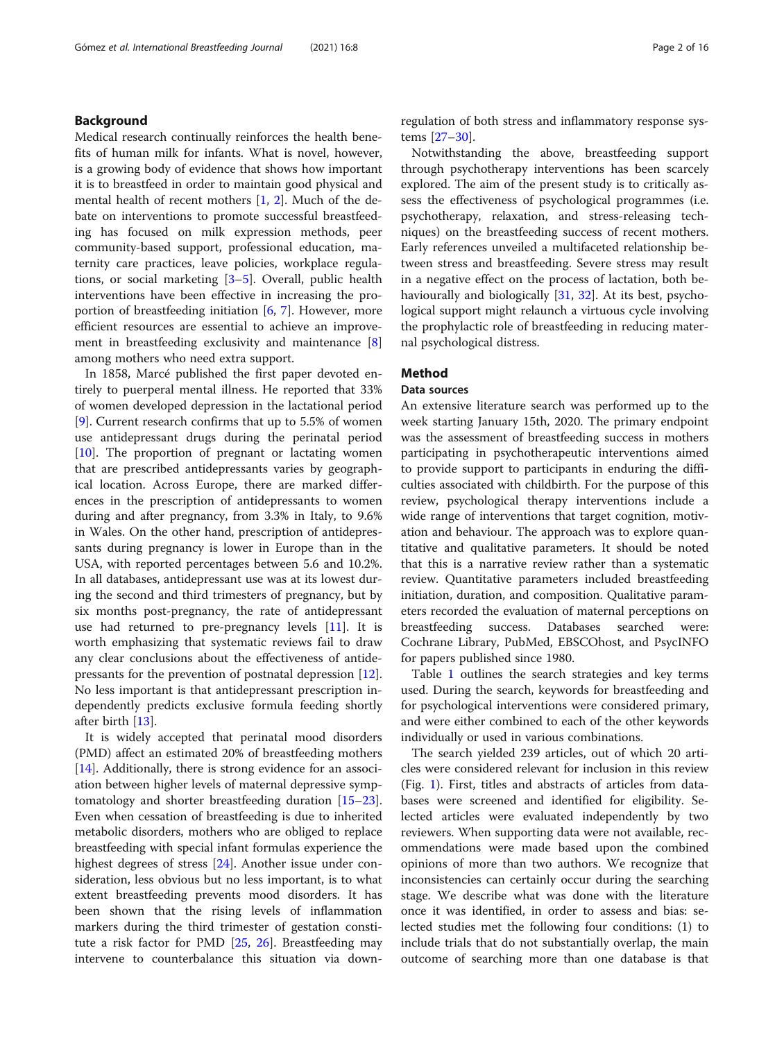# Background

Medical research continually reinforces the health benefits of human milk for infants. What is novel, however, is a growing body of evidence that shows how important it is to breastfeed in order to maintain good physical and mental health of recent mothers [[1,](#page-13-0) [2](#page-13-0)]. Much of the debate on interventions to promote successful breastfeeding has focused on milk expression methods, peer community-based support, professional education, maternity care practices, leave policies, workplace regulations, or social marketing [\[3](#page-13-0)–[5](#page-13-0)]. Overall, public health interventions have been effective in increasing the proportion of breastfeeding initiation  $[6, 7]$  $[6, 7]$  $[6, 7]$  $[6, 7]$  $[6, 7]$ . However, more efficient resources are essential to achieve an improvement in breastfeeding exclusivity and maintenance [\[8](#page-13-0)] among mothers who need extra support.

In 1858, Marcé published the first paper devoted entirely to puerperal mental illness. He reported that 33% of women developed depression in the lactational period [[9\]](#page-13-0). Current research confirms that up to 5.5% of women use antidepressant drugs during the perinatal period  $[10]$  $[10]$ . The proportion of pregnant or lactating women that are prescribed antidepressants varies by geographical location. Across Europe, there are marked differences in the prescription of antidepressants to women during and after pregnancy, from 3.3% in Italy, to 9.6% in Wales. On the other hand, prescription of antidepressants during pregnancy is lower in Europe than in the USA, with reported percentages between 5.6 and 10.2%. In all databases, antidepressant use was at its lowest during the second and third trimesters of pregnancy, but by six months post-pregnancy, the rate of antidepressant use had returned to pre-pregnancy levels  $[11]$  $[11]$ . It is worth emphasizing that systematic reviews fail to draw any clear conclusions about the effectiveness of antidepressants for the prevention of postnatal depression [\[12](#page-13-0)]. No less important is that antidepressant prescription independently predicts exclusive formula feeding shortly after birth [\[13\]](#page-13-0).

It is widely accepted that perinatal mood disorders (PMD) affect an estimated 20% of breastfeeding mothers [[14\]](#page-13-0). Additionally, there is strong evidence for an association between higher levels of maternal depressive symptomatology and shorter breastfeeding duration [[15](#page-14-0)–[23](#page-14-0)]. Even when cessation of breastfeeding is due to inherited metabolic disorders, mothers who are obliged to replace breastfeeding with special infant formulas experience the highest degrees of stress [[24](#page-14-0)]. Another issue under consideration, less obvious but no less important, is to what extent breastfeeding prevents mood disorders. It has been shown that the rising levels of inflammation markers during the third trimester of gestation constitute a risk factor for PMD [[25](#page-14-0), [26\]](#page-14-0). Breastfeeding may intervene to counterbalance this situation via downregulation of both stress and inflammatory response systems [\[27](#page-14-0)–[30\]](#page-14-0).

Notwithstanding the above, breastfeeding support through psychotherapy interventions has been scarcely explored. The aim of the present study is to critically assess the effectiveness of psychological programmes (i.e. psychotherapy, relaxation, and stress-releasing techniques) on the breastfeeding success of recent mothers. Early references unveiled a multifaceted relationship between stress and breastfeeding. Severe stress may result in a negative effect on the process of lactation, both be-haviourally and biologically [\[31,](#page-14-0) [32](#page-14-0)]. At its best, psychological support might relaunch a virtuous cycle involving the prophylactic role of breastfeeding in reducing maternal psychological distress.

# Method

#### Data sources

An extensive literature search was performed up to the week starting January 15th, 2020. The primary endpoint was the assessment of breastfeeding success in mothers participating in psychotherapeutic interventions aimed to provide support to participants in enduring the difficulties associated with childbirth. For the purpose of this review, psychological therapy interventions include a wide range of interventions that target cognition, motivation and behaviour. The approach was to explore quantitative and qualitative parameters. It should be noted that this is a narrative review rather than a systematic review. Quantitative parameters included breastfeeding initiation, duration, and composition. Qualitative parameters recorded the evaluation of maternal perceptions on breastfeeding success. Databases searched were: Cochrane Library, PubMed, EBSCOhost, and PsycINFO for papers published since 1980.

Table [1](#page-2-0) outlines the search strategies and key terms used. During the search, keywords for breastfeeding and for psychological interventions were considered primary, and were either combined to each of the other keywords individually or used in various combinations.

The search yielded 239 articles, out of which 20 articles were considered relevant for inclusion in this review (Fig. [1](#page-3-0)). First, titles and abstracts of articles from databases were screened and identified for eligibility. Selected articles were evaluated independently by two reviewers. When supporting data were not available, recommendations were made based upon the combined opinions of more than two authors. We recognize that inconsistencies can certainly occur during the searching stage. We describe what was done with the literature once it was identified, in order to assess and bias: selected studies met the following four conditions: (1) to include trials that do not substantially overlap, the main outcome of searching more than one database is that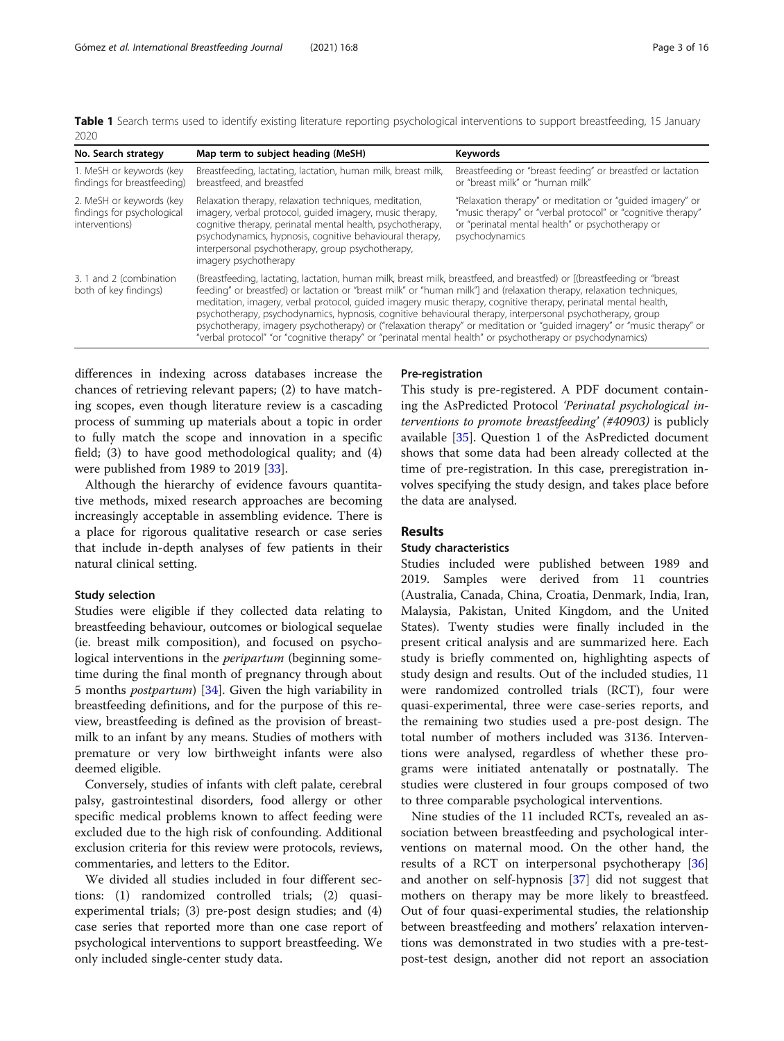<span id="page-2-0"></span>Table 1 Search terms used to identify existing literature reporting psychological interventions to support breastfeeding, 15 January 2020

| No. Search strategy                                                      | Map term to subject heading (MeSH)                                                                                                                                                                                                                                                                                                                                                                                                                                                                                                                                                                                                                                                                                        | <b>Keywords</b>                                                                                                                                                                                |  |
|--------------------------------------------------------------------------|---------------------------------------------------------------------------------------------------------------------------------------------------------------------------------------------------------------------------------------------------------------------------------------------------------------------------------------------------------------------------------------------------------------------------------------------------------------------------------------------------------------------------------------------------------------------------------------------------------------------------------------------------------------------------------------------------------------------------|------------------------------------------------------------------------------------------------------------------------------------------------------------------------------------------------|--|
| 1. MeSH or keywords (key<br>findings for breastfeeding)                  | Breastfeeding, lactating, lactation, human milk, breast milk,<br>breastfeed, and breastfed                                                                                                                                                                                                                                                                                                                                                                                                                                                                                                                                                                                                                                | Breastfeeding or "breast feeding" or breastfed or lactation<br>or "breast milk" or "human milk"                                                                                                |  |
| 2. MeSH or keywords (key<br>findings for psychological<br>interventions) | Relaxation therapy, relaxation techniques, meditation,<br>imagery, verbal protocol, quided imagery, music therapy,<br>cognitive therapy, perinatal mental health, psychotherapy,<br>psychodynamics, hypnosis, cognitive behavioural therapy,<br>interpersonal psychotherapy, group psychotherapy,<br>imagery psychotherapy                                                                                                                                                                                                                                                                                                                                                                                                | "Relaxation therapy" or meditation or "guided imagery" or<br>"music therapy" or "verbal protocol" or "cognitive therapy"<br>or "perinatal mental health" or psychotherapy or<br>psychodynamics |  |
| 3. 1 and 2 (combination<br>both of key findings)                         | (Breastfeeding, lactating, lactation, human milk, breast milk, breastfeed, and breastfed) or [(breastfeeding or "breast<br>feeding" or breastfed) or lactation or "breast milk" or "human milk"] and (relaxation therapy, relaxation techniques,<br>meditation, imagery, verbal protocol, quided imagery music therapy, cognitive therapy, perinatal mental health,<br>psychotherapy, psychodynamics, hypnosis, cognitive behavioural therapy, interpersonal psychotherapy, group<br>psychotherapy, imagery psychotherapy) or ("relaxation therapy" or meditation or "guided imagery" or "music therapy" or<br>"verbal protocol" "or "cognitive therapy" or "perinatal mental health" or psychotherapy or psychodynamics) |                                                                                                                                                                                                |  |

differences in indexing across databases increase the chances of retrieving relevant papers; (2) to have matching scopes, even though literature review is a cascading process of summing up materials about a topic in order to fully match the scope and innovation in a specific field; (3) to have good methodological quality; and (4) were published from 1989 to 2019 [[33\]](#page-14-0).

Although the hierarchy of evidence favours quantitative methods, mixed research approaches are becoming increasingly acceptable in assembling evidence. There is a place for rigorous qualitative research or case series that include in-depth analyses of few patients in their natural clinical setting.

#### Study selection

Studies were eligible if they collected data relating to breastfeeding behaviour, outcomes or biological sequelae (ie. breast milk composition), and focused on psychological interventions in the *peripartum* (beginning sometime during the final month of pregnancy through about 5 months postpartum) [[34\]](#page-14-0). Given the high variability in breastfeeding definitions, and for the purpose of this review, breastfeeding is defined as the provision of breastmilk to an infant by any means. Studies of mothers with premature or very low birthweight infants were also deemed eligible.

Conversely, studies of infants with cleft palate, cerebral palsy, gastrointestinal disorders, food allergy or other specific medical problems known to affect feeding were excluded due to the high risk of confounding. Additional exclusion criteria for this review were protocols, reviews, commentaries, and letters to the Editor.

We divided all studies included in four different sections: (1) randomized controlled trials; (2) quasiexperimental trials; (3) pre-post design studies; and (4) case series that reported more than one case report of psychological interventions to support breastfeeding. We only included single-center study data.

#### Pre-registration

This study is pre-registered. A PDF document containing the AsPredicted Protocol 'Perinatal psychological interventions to promote breastfeeding' (#40903) is publicly available [[35](#page-14-0)]. Question 1 of the AsPredicted document shows that some data had been already collected at the time of pre-registration. In this case, preregistration involves specifying the study design, and takes place before the data are analysed.

#### Results

#### Study characteristics

Studies included were published between 1989 and 2019. Samples were derived from 11 countries (Australia, Canada, China, Croatia, Denmark, India, Iran, Malaysia, Pakistan, United Kingdom, and the United States). Twenty studies were finally included in the present critical analysis and are summarized here. Each study is briefly commented on, highlighting aspects of study design and results. Out of the included studies, 11 were randomized controlled trials (RCT), four were quasi-experimental, three were case-series reports, and the remaining two studies used a pre-post design. The total number of mothers included was 3136. Interventions were analysed, regardless of whether these programs were initiated antenatally or postnatally. The studies were clustered in four groups composed of two to three comparable psychological interventions.

Nine studies of the 11 included RCTs, revealed an association between breastfeeding and psychological interventions on maternal mood. On the other hand, the results of a RCT on interpersonal psychotherapy [[36](#page-14-0)] and another on self-hypnosis [\[37](#page-14-0)] did not suggest that mothers on therapy may be more likely to breastfeed. Out of four quasi-experimental studies, the relationship between breastfeeding and mothers' relaxation interventions was demonstrated in two studies with a pre-testpost-test design, another did not report an association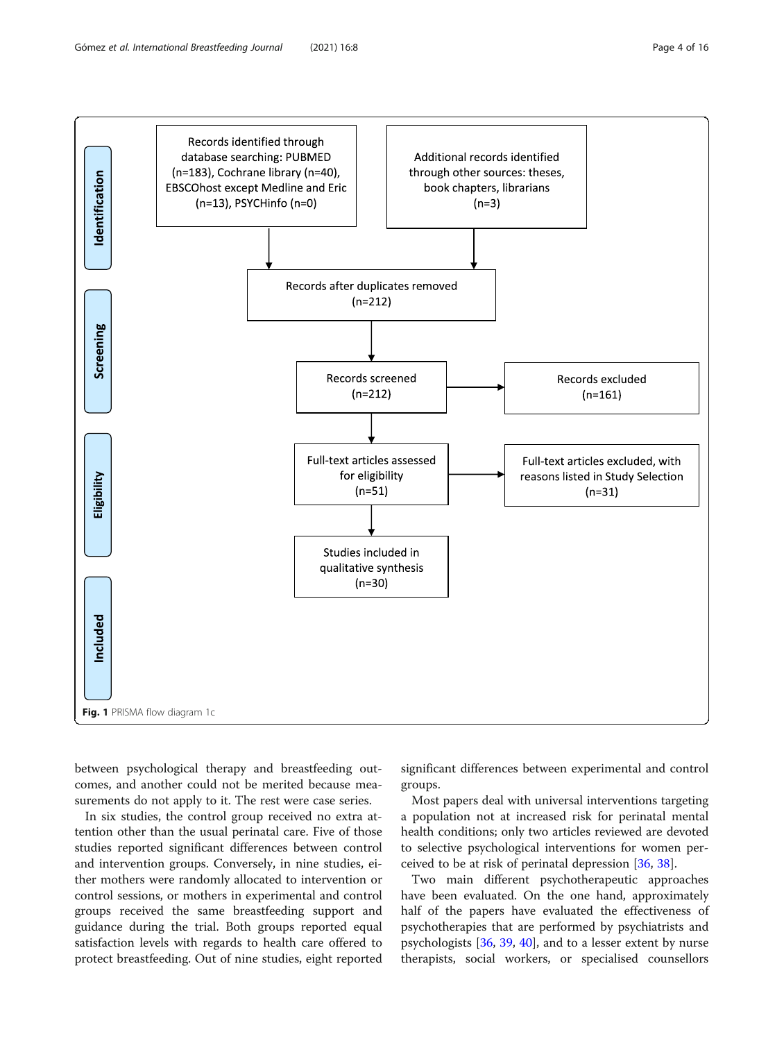<span id="page-3-0"></span>

between psychological therapy and breastfeeding outcomes, and another could not be merited because measurements do not apply to it. The rest were case series.

In six studies, the control group received no extra attention other than the usual perinatal care. Five of those studies reported significant differences between control and intervention groups. Conversely, in nine studies, either mothers were randomly allocated to intervention or control sessions, or mothers in experimental and control groups received the same breastfeeding support and guidance during the trial. Both groups reported equal satisfaction levels with regards to health care offered to protect breastfeeding. Out of nine studies, eight reported

significant differences between experimental and control groups.

Most papers deal with universal interventions targeting a population not at increased risk for perinatal mental health conditions; only two articles reviewed are devoted to selective psychological interventions for women perceived to be at risk of perinatal depression [\[36](#page-14-0), [38](#page-14-0)].

Two main different psychotherapeutic approaches have been evaluated. On the one hand, approximately half of the papers have evaluated the effectiveness of psychotherapies that are performed by psychiatrists and psychologists [[36,](#page-14-0) [39,](#page-14-0) [40\]](#page-14-0), and to a lesser extent by nurse therapists, social workers, or specialised counsellors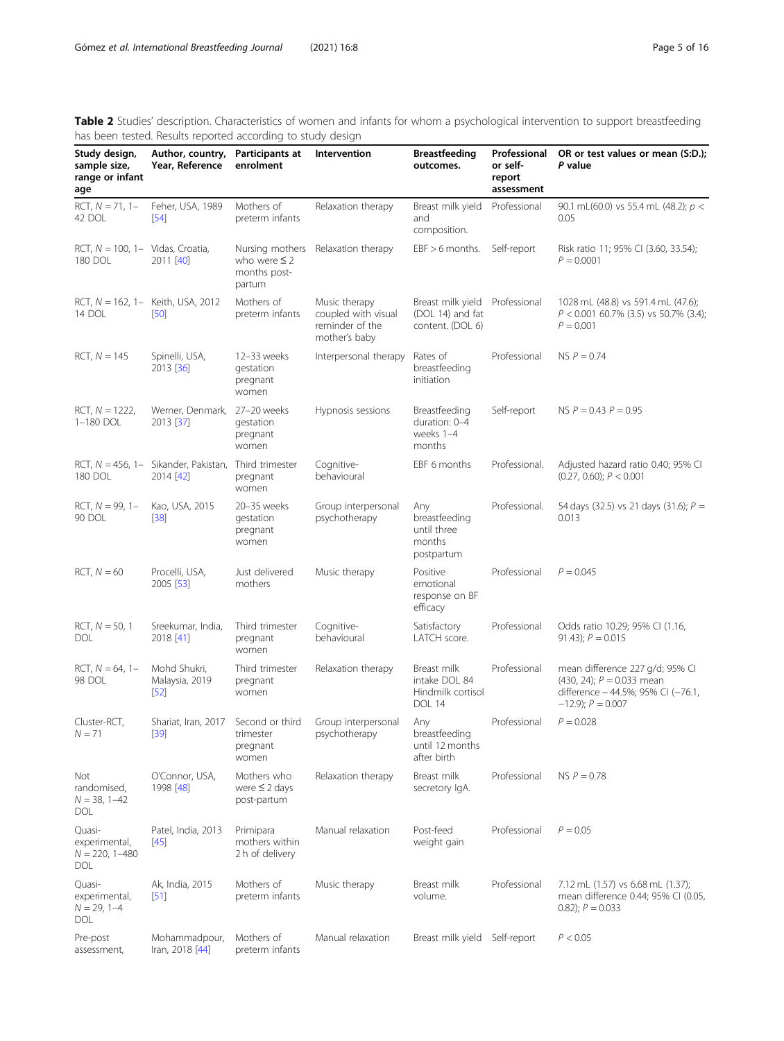<span id="page-4-0"></span>Table 2 Studies' description. Characteristics of women and infants for whom a psychological intervention to support breastfeeding has been tested. Results reported according to study design

| Study design,<br>sample size,<br>range or infant<br>age     | Author, country, Participants at<br>Year, Reference                  | enrolment                                        | Intervention                                                             | <b>Breastfeeding</b><br>outcomes.                                      | Professional<br>or self-<br>report<br>assessment | OR or test values or mean (S:D.);<br>P value                                                                                     |
|-------------------------------------------------------------|----------------------------------------------------------------------|--------------------------------------------------|--------------------------------------------------------------------------|------------------------------------------------------------------------|--------------------------------------------------|----------------------------------------------------------------------------------------------------------------------------------|
| RCT, $N = 71$ , 1-<br>42 DOL                                | Feher, USA, 1989<br>$[54]$                                           | Mothers of<br>preterm infants                    | Relaxation therapy                                                       | Breast milk yield<br>and<br>composition.                               | Professional                                     | 90.1 mL(60.0) vs 55.4 mL (48.2); p <<br>0.05                                                                                     |
| RCT, $N = 100$ , 1- Vidas, Croatia,<br>180 DOL              | 2011 [40]                                                            | who were $\leq$ 2<br>months post-<br>partum      | Nursing mothers Relaxation therapy                                       | $EBF > 6$ months.                                                      | Self-report                                      | Risk ratio 11; 95% CI (3.60, 33.54);<br>$P = 0.0001$                                                                             |
| 14 DOL                                                      | RCT, $N = 162$ , 1- Keith, USA, 2012<br>[50]                         | Mothers of<br>preterm infants                    | Music therapy<br>coupled with visual<br>reminder of the<br>mother's baby | Breast milk yield Professional<br>(DOL 14) and fat<br>content. (DOL 6) |                                                  | 1028 mL (48.8) vs 591.4 mL (47.6);<br>$P < 0.001$ 60.7% (3.5) vs 50.7% (3.4);<br>$P = 0.001$                                     |
| $RCT, N = 145$                                              | Spinelli, USA,<br>2013 [36]                                          | 12-33 weeks<br>gestation<br>pregnant<br>women    | Interpersonal therapy                                                    | Rates of<br>breastfeeding<br>initiation                                | Professional                                     | $NS P = 0.74$                                                                                                                    |
| $RCT, N = 1222,$<br>1-180 DOL                               | Werner, Denmark, 27-20 weeks<br>2013 [37]                            | gestation<br>pregnant<br>women                   | Hypnosis sessions                                                        | Breastfeeding<br>duration: 0-4<br>weeks 1-4<br>months                  | Self-report                                      | NS $P = 0.43$ $P = 0.95$                                                                                                         |
| 180 DOL                                                     | RCT, $N = 456$ , 1- Sikander, Pakistan, Third trimester<br>2014 [42] | pregnant<br>women                                | Cognitive-<br>behavioural                                                | EBF 6 months                                                           | Professional.                                    | Adjusted hazard ratio 0.40; 95% CI<br>(0.27, 0.60); P < 0.001                                                                    |
| $RCT, N = 99, 1 -$<br>90 DOL                                | Kao, USA, 2015<br>$[38]$                                             | 20-35 weeks<br>gestation<br>pregnant<br>women    | Group interpersonal<br>psychotherapy                                     | Any<br>breastfeeding<br>until three<br>months<br>postpartum            | Professional.                                    | 54 days (32.5) vs 21 days (31.6); $P =$<br>0.013                                                                                 |
| $RCT, N = 60$                                               | Procelli, USA,<br>2005 [53]                                          | Just delivered<br>mothers                        | Music therapy                                                            | Positive<br>emotional<br>response on BF<br>efficacy                    | Professional                                     | $P = 0.045$                                                                                                                      |
| $RCT, N = 50, 1$<br>DOL                                     | Sreekumar, India,<br>2018 [41]                                       | Third trimester<br>pregnant<br>women             | Cognitive-<br>behavioural                                                | Satisfactory<br>LATCH score.                                           | Professional                                     | Odds ratio 10.29; 95% CI (1.16,<br>91.43); $P = 0.015$                                                                           |
| $RCT, N = 64, 1 -$<br>98 DOL                                | Mohd Shukri,<br>Malaysia, 2019<br>$[52]$                             | Third trimester<br>pregnant<br>women             | Relaxation therapy                                                       | Breast milk<br>intake DOL 84<br>Hindmilk cortisol<br><b>DOL 14</b>     | Professional                                     | mean difference 227 g/d; 95% CI<br>$(430, 24)$ ; $P = 0.033$ mean<br>difference - 44.5%; 95% CI (-76.1,<br>$-12.9$ ; $P = 0.007$ |
| Cluster-RCT,<br>$N = 71$                                    | Shariat, Iran, 2017 Second or third<br>[39]                          | trimester<br>pregnant<br>women                   | Group interpersonal<br>psychotherapy                                     | Any<br>breastfeeding<br>until 12 months<br>after birth                 | Professional                                     | $P = 0.028$                                                                                                                      |
| Not<br>randomised,<br>$N = 38, 1 - 42$<br><b>DOL</b>        | O'Connor, USA,<br>1998 [48]                                          | Mothers who<br>were $\leq$ 2 days<br>post-partum | Relaxation therapy                                                       | Breast milk<br>secretory IgA.                                          | Professional                                     | $NS P = 0.78$                                                                                                                    |
| Quasi-<br>experimental,<br>$N = 220, 1 - 480$<br><b>DOL</b> | Patel, India, 2013<br>$[45]$                                         | Primipara<br>mothers within<br>2 h of delivery   | Manual relaxation                                                        | Post-feed<br>weight gain                                               | Professional                                     | $P = 0.05$                                                                                                                       |
| Quasi-<br>experimental,<br>$N = 29, 1 - 4$<br><b>DOL</b>    | Ak, India, 2015<br>[51]                                              | Mothers of<br>preterm infants                    | Music therapy                                                            | Breast milk<br>volume.                                                 | Professional                                     | 7.12 mL (1.57) vs 6.68 mL (1.37);<br>mean difference 0.44; 95% CI (0.05,<br>$(0.82)$ ; $P = 0.033$                               |
| Pre-post<br>assessment,                                     | Mohammadpour,<br>Iran, 2018 [44]                                     | Mothers of<br>preterm infants                    | Manual relaxation                                                        | Breast milk yield Self-report                                          |                                                  | P < 0.05                                                                                                                         |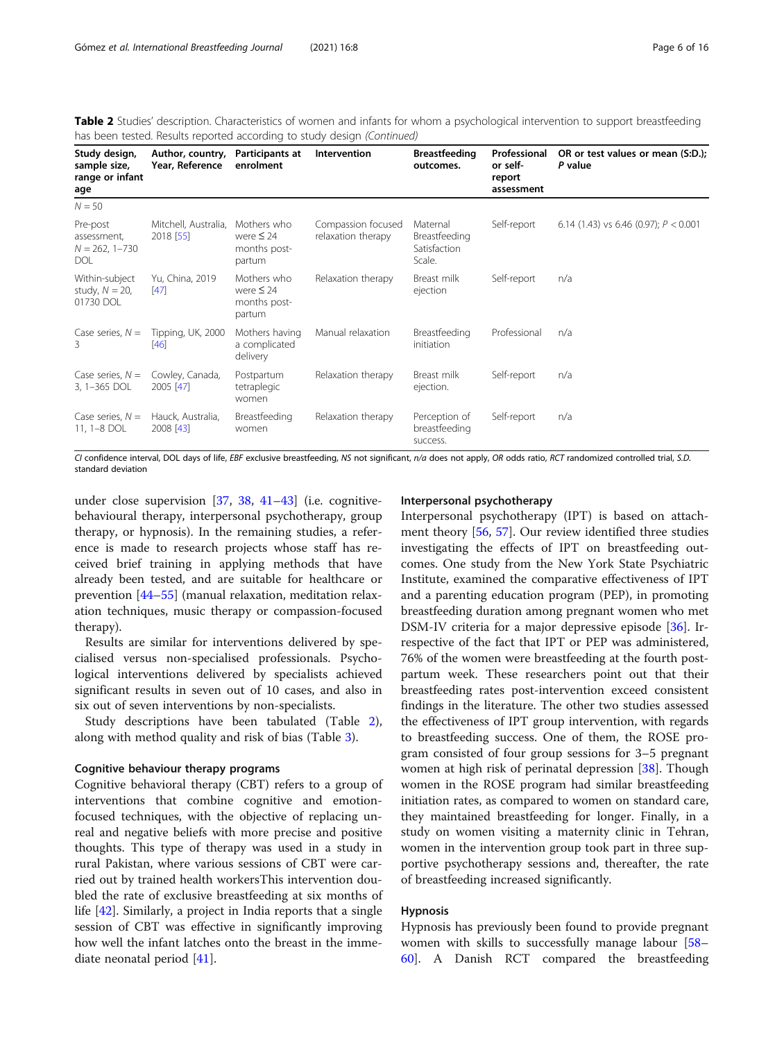Table 2 Studies' description. Characteristics of women and infants for whom a psychological intervention to support breastfeeding has been tested. Results reported according to study design (Continued)

| Study design,<br>sample size,<br>range or infant<br>age     | Author, country,<br>Year, Reference | Participants at<br>enrolment                            | Intervention                             | <b>Breastfeeding</b><br>outcomes.                   | Professional<br>or self-<br>report<br>assessment | OR or test values or mean (S:D.);<br>P value |
|-------------------------------------------------------------|-------------------------------------|---------------------------------------------------------|------------------------------------------|-----------------------------------------------------|--------------------------------------------------|----------------------------------------------|
| $N = 50$                                                    |                                     |                                                         |                                          |                                                     |                                                  |                                              |
| Pre-post<br>assessment.<br>$N = 262, 1 - 730$<br><b>DOL</b> | Mitchell, Australia,<br>2018 [55]   | Mothers who<br>were $\leq 24$<br>months post-<br>partum | Compassion focused<br>relaxation therapy | Maternal<br>Breastfeeding<br>Satisfaction<br>Scale. | Self-report                                      | 6.14 (1.43) vs 6.46 (0.97); $P < 0.001$      |
| Within-subject<br>study, $N = 20$ ,<br>01730 DOL            | Yu, China, 2019<br>[47]             | Mothers who<br>were $\leq 24$<br>months post-<br>partum | Relaxation therapy                       | Breast milk<br>ejection                             | Self-report                                      | n/a                                          |
| Case series, $N =$<br>3                                     | Tipping, UK, 2000<br>$[46]$         | Mothers having<br>a complicated<br>delivery             | Manual relaxation                        | Breastfeeding<br>initiation                         | Professional                                     | n/a                                          |
| Case series, $N =$<br>3, 1-365 DOL                          | Cowley, Canada,<br>2005 [47]        | Postpartum<br>tetraplegic<br>women                      | Relaxation therapy                       | Breast milk<br>ejection.                            | Self-report                                      | n/a                                          |
| Case series, $N =$<br>11, 1-8 DOL                           | Hauck, Australia,<br>2008 [43]      | Breastfeeding<br>women                                  | Relaxation therapy                       | Perception of<br>breastfeeding<br>success.          | Self-report                                      | n/a                                          |

CI confidence interval, DOL days of life, EBF exclusive breastfeeding, NS not significant, n/a does not apply, OR odds ratio, RCT randomized controlled trial, S.D. standard deviation

under close supervision [\[37](#page-14-0), [38,](#page-14-0) [41](#page-14-0)–[43](#page-14-0)] (i.e. cognitivebehavioural therapy, interpersonal psychotherapy, group therapy, or hypnosis). In the remaining studies, a reference is made to research projects whose staff has received brief training in applying methods that have already been tested, and are suitable for healthcare or prevention [[44](#page-14-0)–[55](#page-14-0)] (manual relaxation, meditation relaxation techniques, music therapy or compassion-focused therapy).

Results are similar for interventions delivered by specialised versus non-specialised professionals. Psychological interventions delivered by specialists achieved significant results in seven out of 10 cases, and also in six out of seven interventions by non-specialists.

Study descriptions have been tabulated (Table [2](#page-4-0)), along with method quality and risk of bias (Table [3](#page-6-0)).

# Cognitive behaviour therapy programs

Cognitive behavioral therapy (CBT) refers to a group of interventions that combine cognitive and emotionfocused techniques, with the objective of replacing unreal and negative beliefs with more precise and positive thoughts. This type of therapy was used in a study in rural Pakistan, where various sessions of CBT were carried out by trained health workersThis intervention doubled the rate of exclusive breastfeeding at six months of life [\[42](#page-14-0)]. Similarly, a project in India reports that a single session of CBT was effective in significantly improving how well the infant latches onto the breast in the immediate neonatal period [\[41](#page-14-0)].

### Interpersonal psychotherapy

Interpersonal psychotherapy (IPT) is based on attachment theory [[56](#page-14-0), [57\]](#page-14-0). Our review identified three studies investigating the effects of IPT on breastfeeding outcomes. One study from the New York State Psychiatric Institute, examined the comparative effectiveness of IPT and a parenting education program (PEP), in promoting breastfeeding duration among pregnant women who met DSM-IV criteria for a major depressive episode [\[36](#page-14-0)]. Irrespective of the fact that IPT or PEP was administered, 76% of the women were breastfeeding at the fourth postpartum week. These researchers point out that their breastfeeding rates post-intervention exceed consistent findings in the literature. The other two studies assessed the effectiveness of IPT group intervention, with regards to breastfeeding success. One of them, the ROSE program consisted of four group sessions for 3–5 pregnant women at high risk of perinatal depression [[38\]](#page-14-0). Though women in the ROSE program had similar breastfeeding initiation rates, as compared to women on standard care, they maintained breastfeeding for longer. Finally, in a study on women visiting a maternity clinic in Tehran, women in the intervention group took part in three supportive psychotherapy sessions and, thereafter, the rate of breastfeeding increased significantly.

#### Hypnosis

Hypnosis has previously been found to provide pregnant women with skills to successfully manage labour [[58](#page-14-0)– [60\]](#page-14-0). A Danish RCT compared the breastfeeding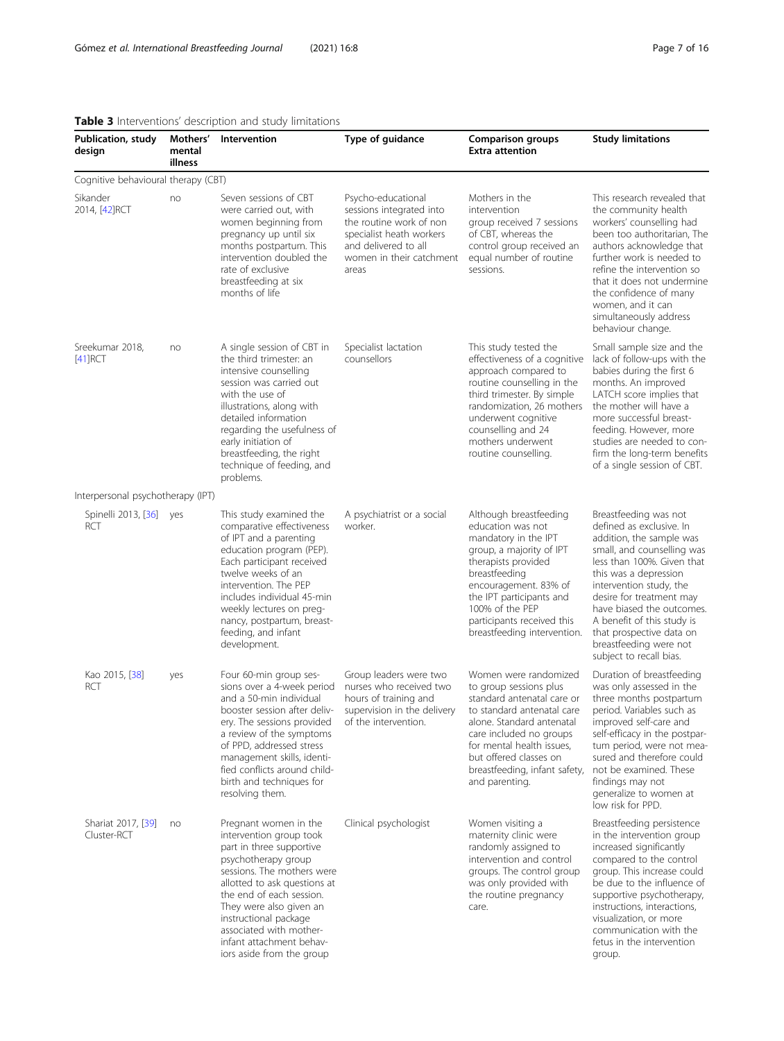# <span id="page-6-0"></span>Table 3 Interventions' description and study limitations

| Publication, study<br>design        | Mothers'<br>mental<br>illness | Intervention                                                                                                                                                                                                                                                                                                                          | Type of guidance                                                                                                                                                   | <b>Comparison groups</b><br><b>Extra attention</b>                                                                                                                                                                                                                            | <b>Study limitations</b>                                                                                                                                                                                                                                                                                                                                              |
|-------------------------------------|-------------------------------|---------------------------------------------------------------------------------------------------------------------------------------------------------------------------------------------------------------------------------------------------------------------------------------------------------------------------------------|--------------------------------------------------------------------------------------------------------------------------------------------------------------------|-------------------------------------------------------------------------------------------------------------------------------------------------------------------------------------------------------------------------------------------------------------------------------|-----------------------------------------------------------------------------------------------------------------------------------------------------------------------------------------------------------------------------------------------------------------------------------------------------------------------------------------------------------------------|
| Cognitive behavioural therapy (CBT) |                               |                                                                                                                                                                                                                                                                                                                                       |                                                                                                                                                                    |                                                                                                                                                                                                                                                                               |                                                                                                                                                                                                                                                                                                                                                                       |
| Sikander<br>2014, [42] RCT          | no                            | Seven sessions of CBT<br>were carried out, with<br>women beginning from<br>pregnancy up until six<br>months postpartum. This<br>intervention doubled the<br>rate of exclusive<br>breastfeeding at six<br>months of life                                                                                                               | Psycho-educational<br>sessions integrated into<br>the routine work of non<br>specialist heath workers<br>and delivered to all<br>women in their catchment<br>areas | Mothers in the<br>intervention<br>group received 7 sessions<br>of CBT, whereas the<br>control group received an<br>equal number of routine<br>sessions.                                                                                                                       | This research revealed that<br>the community health<br>workers' counselling had<br>been too authoritarian, The<br>authors acknowledge that<br>further work is needed to<br>refine the intervention so<br>that it does not undermine<br>the confidence of many<br>women, and it can<br>simultaneously address<br>behaviour change.                                     |
| Sreekumar 2018,<br>$[41]$ RCT       | no                            | A single session of CBT in<br>the third trimester: an<br>intensive counselling<br>session was carried out<br>with the use of<br>illustrations, along with<br>detailed information<br>regarding the usefulness of<br>early initiation of<br>breastfeeding, the right<br>technique of feeding, and<br>problems.                         | Specialist lactation<br>counsellors                                                                                                                                | This study tested the<br>effectiveness of a cognitive<br>approach compared to<br>routine counselling in the<br>third trimester. By simple<br>randomization, 26 mothers<br>underwent cognitive<br>counselling and 24<br>mothers underwent<br>routine counselling.              | Small sample size and the<br>lack of follow-ups with the<br>babies during the first 6<br>months. An improved<br>LATCH score implies that<br>the mother will have a<br>more successful breast-<br>feeding. However, more<br>studies are needed to con-<br>firm the long-term benefits<br>of a single session of CBT.                                                   |
| Interpersonal psychotherapy (IPT)   |                               |                                                                                                                                                                                                                                                                                                                                       |                                                                                                                                                                    |                                                                                                                                                                                                                                                                               |                                                                                                                                                                                                                                                                                                                                                                       |
| Spinelli 2013, [36]<br><b>RCT</b>   | yes                           | This study examined the<br>comparative effectiveness<br>of IPT and a parenting<br>education program (PEP).<br>Each participant received<br>twelve weeks of an<br>intervention. The PEP<br>includes individual 45-min<br>weekly lectures on preg-<br>nancy, postpartum, breast-<br>feeding, and infant<br>development.                 | A psychiatrist or a social<br>worker.                                                                                                                              | Although breastfeeding<br>education was not<br>mandatory in the IPT<br>group, a majority of IPT<br>therapists provided<br>breastfeeding<br>encouragement. 83% of<br>the IPT participants and<br>100% of the PEP<br>participants received this<br>breastfeeding intervention.  | Breastfeeding was not<br>defined as exclusive. In<br>addition, the sample was<br>small, and counselling was<br>less than 100%. Given that<br>this was a depression<br>intervention study, the<br>desire for treatment may<br>have biased the outcomes.<br>A benefit of this study is<br>that prospective data on<br>breastfeeding were not<br>subject to recall bias. |
| Kao 2015, [38]<br>RCT               | yes                           | Four 60-min group ses-<br>sions over a 4-week period<br>and a 50-min individual<br>booster session after deliv-<br>ery. The sessions provided<br>a review of the symptoms<br>of PPD, addressed stress<br>management skills, identi-<br>fied conflicts around child-<br>birth and techniques for<br>resolving them.                    | Group leaders were two<br>nurses who received two<br>hours of training and<br>supervision in the delivery<br>of the intervention.                                  | Women were randomized<br>to group sessions plus<br>standard antenatal care or<br>to standard antenatal care<br>alone. Standard antenatal<br>care included no groups<br>for mental health issues,<br>but offered classes on<br>breastfeeding, infant safety,<br>and parenting. | Duration of breastfeeding<br>was only assessed in the<br>three months postpartum<br>period. Variables such as<br>improved self-care and<br>self-efficacy in the postpar-<br>tum period, were not mea-<br>sured and therefore could<br>not be examined. These<br>findings may not<br>generalize to women at<br>low risk for PPD.                                       |
| Shariat 2017, [39]<br>Cluster-RCT   | no                            | Pregnant women in the<br>intervention group took<br>part in three supportive<br>psychotherapy group<br>sessions. The mothers were<br>allotted to ask questions at<br>the end of each session.<br>They were also given an<br>instructional package<br>associated with mother-<br>infant attachment behav-<br>iors aside from the group | Clinical psychologist                                                                                                                                              | Women visiting a<br>maternity clinic were<br>randomly assigned to<br>intervention and control<br>groups. The control group<br>was only provided with<br>the routine pregnancy<br>care.                                                                                        | Breastfeeding persistence<br>in the intervention group<br>increased significantly<br>compared to the control<br>group. This increase could<br>be due to the influence of<br>supportive psychotherapy,<br>instructions, interactions,<br>visualization, or more<br>communication with the<br>fetus in the intervention<br>group.                                       |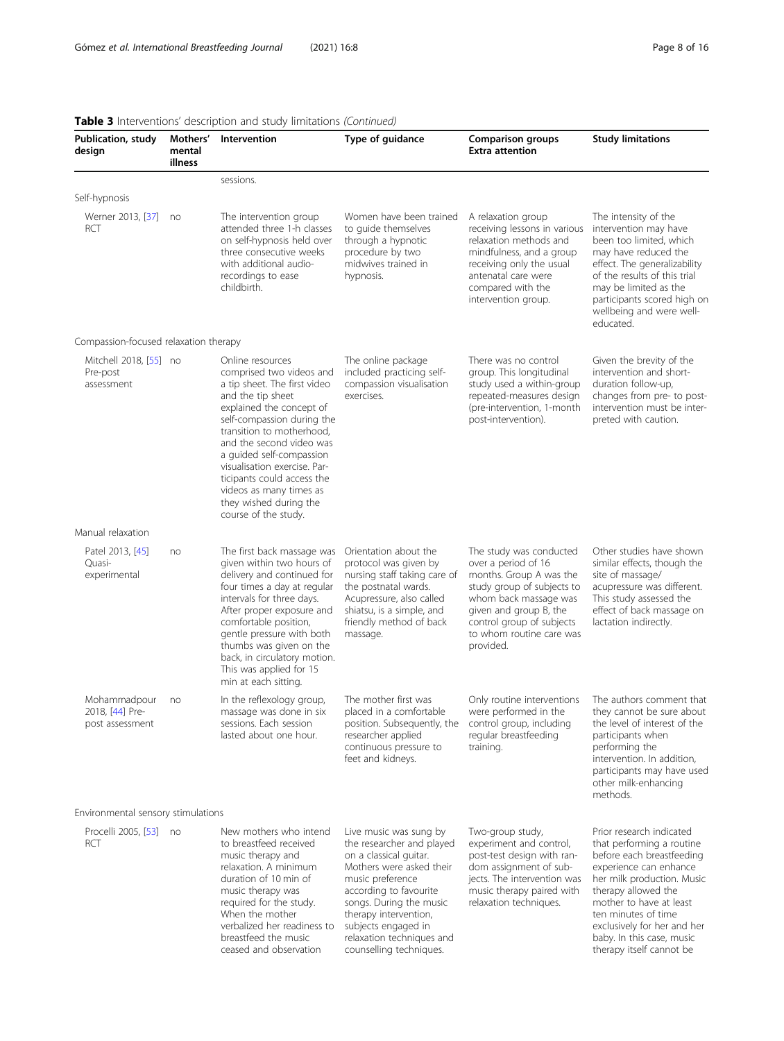| <b>Publication, study</b><br>design                | Mothers'<br>mental<br>illness | <b>rable 3</b> interventions description and study immations (committed)<br>Intervention                                                                                                                                                                                                                                                                                                    | Type of guidance                                                                                                                                                                                                                                                                           | <b>Comparison groups</b><br><b>Extra attention</b>                                                                                                                                                                               | <b>Study limitations</b>                                                                                                                                                                                                                                                                                    |
|----------------------------------------------------|-------------------------------|---------------------------------------------------------------------------------------------------------------------------------------------------------------------------------------------------------------------------------------------------------------------------------------------------------------------------------------------------------------------------------------------|--------------------------------------------------------------------------------------------------------------------------------------------------------------------------------------------------------------------------------------------------------------------------------------------|----------------------------------------------------------------------------------------------------------------------------------------------------------------------------------------------------------------------------------|-------------------------------------------------------------------------------------------------------------------------------------------------------------------------------------------------------------------------------------------------------------------------------------------------------------|
|                                                    |                               | sessions.                                                                                                                                                                                                                                                                                                                                                                                   |                                                                                                                                                                                                                                                                                            |                                                                                                                                                                                                                                  |                                                                                                                                                                                                                                                                                                             |
| Self-hypnosis                                      |                               |                                                                                                                                                                                                                                                                                                                                                                                             |                                                                                                                                                                                                                                                                                            |                                                                                                                                                                                                                                  |                                                                                                                                                                                                                                                                                                             |
| Werner 2013, [37] no<br><b>RCT</b>                 |                               | The intervention group<br>attended three 1-h classes<br>on self-hypnosis held over<br>three consecutive weeks<br>with additional audio-<br>recordings to ease<br>childbirth.                                                                                                                                                                                                                | Women have been trained<br>to quide themselves<br>through a hypnotic<br>procedure by two<br>midwives trained in<br>hypnosis.                                                                                                                                                               | A relaxation group<br>receiving lessons in various<br>relaxation methods and<br>mindfulness, and a group<br>receiving only the usual<br>antenatal care were<br>compared with the<br>intervention group.                          | The intensity of the<br>intervention may have<br>been too limited, which<br>may have reduced the<br>effect. The generalizability<br>of the results of this trial<br>may be limited as the<br>participants scored high on<br>wellbeing and were well-<br>educated.                                           |
| Compassion-focused relaxation therapy              |                               |                                                                                                                                                                                                                                                                                                                                                                                             |                                                                                                                                                                                                                                                                                            |                                                                                                                                                                                                                                  |                                                                                                                                                                                                                                                                                                             |
| Mitchell 2018, [55] no<br>Pre-post<br>assessment   |                               | Online resources<br>comprised two videos and<br>a tip sheet. The first video<br>and the tip sheet<br>explained the concept of<br>self-compassion during the<br>transition to motherhood.<br>and the second video was<br>a quided self-compassion<br>visualisation exercise. Par-<br>ticipants could access the<br>videos as many times as<br>they wished during the<br>course of the study. | The online package<br>included practicing self-<br>compassion visualisation<br>exercises.                                                                                                                                                                                                  | There was no control<br>group. This longitudinal<br>study used a within-group<br>repeated-measures design<br>(pre-intervention, 1-month<br>post-intervention).                                                                   | Given the brevity of the<br>intervention and short-<br>duration follow-up,<br>changes from pre- to post-<br>intervention must be inter-<br>preted with caution.                                                                                                                                             |
| Manual relaxation                                  |                               |                                                                                                                                                                                                                                                                                                                                                                                             |                                                                                                                                                                                                                                                                                            |                                                                                                                                                                                                                                  |                                                                                                                                                                                                                                                                                                             |
| Patel 2013, [45]<br>Quasi-<br>experimental         | no                            | The first back massage was<br>given within two hours of<br>delivery and continued for<br>four times a day at regular<br>intervals for three days.<br>After proper exposure and<br>comfortable position,<br>gentle pressure with both<br>thumbs was given on the<br>back, in circulatory motion.<br>This was applied for 15<br>min at each sitting.                                          | Orientation about the<br>protocol was given by<br>nursing staff taking care of<br>the postnatal wards.<br>Acupressure, also called<br>shiatsu, is a simple, and<br>friendly method of back<br>massage.                                                                                     | The study was conducted<br>over a period of 16<br>months. Group A was the<br>study group of subjects to<br>whom back massage was<br>given and group B, the<br>control group of subjects<br>to whom routine care was<br>provided. | Other studies have shown<br>similar effects, though the<br>site of massage/<br>acupressure was different.<br>This study assessed the<br>effect of back massage on<br>lactation indirectly.                                                                                                                  |
| Mohammadpour<br>2018, [44] Pre-<br>post assessment | no                            | In the reflexology group,<br>massage was done in six<br>sessions. Each session<br>lasted about one hour.                                                                                                                                                                                                                                                                                    | The mother first was<br>placed in a comfortable<br>position. Subsequently, the control group, including<br>researcher applied<br>continuous pressure to<br>feet and kidneys.                                                                                                               | Only routine interventions<br>were performed in the<br>regular breastfeeding<br>training.                                                                                                                                        | The authors comment that<br>they cannot be sure about<br>the level of interest of the<br>participants when<br>performing the<br>intervention. In addition,<br>participants may have used<br>other milk-enhancing<br>methods.                                                                                |
| Environmental sensory stimulations                 |                               |                                                                                                                                                                                                                                                                                                                                                                                             |                                                                                                                                                                                                                                                                                            |                                                                                                                                                                                                                                  |                                                                                                                                                                                                                                                                                                             |
| Procelli 2005, [53] no<br><b>RCT</b>               |                               | New mothers who intend<br>to breastfeed received<br>music therapy and<br>relaxation. A minimum<br>duration of 10 min of<br>music therapy was<br>required for the study.<br>When the mother<br>verbalized her readiness to<br>breastfeed the music<br>ceased and observation                                                                                                                 | Live music was sung by<br>the researcher and played<br>on a classical quitar.<br>Mothers were asked their<br>music preference<br>according to favourite<br>songs. During the music<br>therapy intervention,<br>subjects engaged in<br>relaxation techniques and<br>counselling techniques. | Two-group study,<br>experiment and control,<br>post-test design with ran-<br>dom assignment of sub-<br>jects. The intervention was<br>music therapy paired with<br>relaxation techniques.                                        | Prior research indicated<br>that performing a routine<br>before each breastfeeding<br>experience can enhance<br>her milk production. Music<br>therapy allowed the<br>mother to have at least<br>ten minutes of time<br>exclusively for her and her<br>baby. In this case, music<br>therapy itself cannot be |

# Table 3 Interventions' description and study limitations *(Continued)*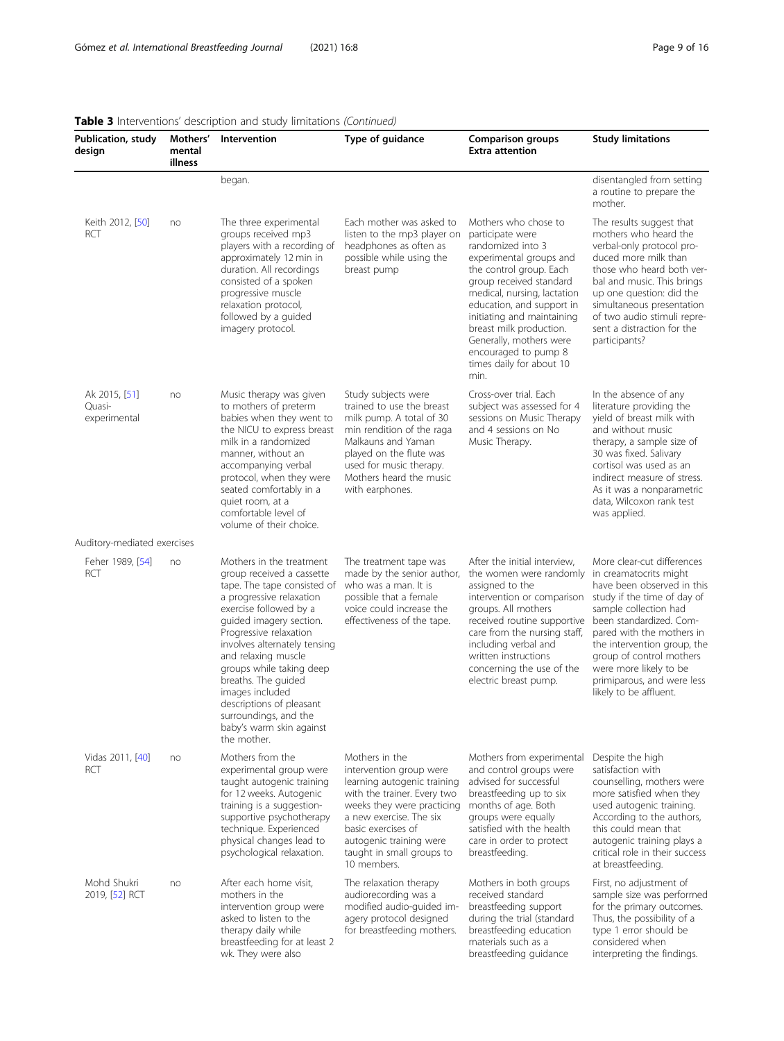| Publication, study<br>design            | Mothers'<br>mental<br>illness | Intervention                                                                                                                                                                                                                                                                                                                                                                                                                 | Type of guidance                                                                                                                                                                                                                                              | <b>Comparison groups</b><br><b>Extra attention</b>                                                                                                                                                                                                                                                                                                         | <b>Study limitations</b>                                                                                                                                                                                                                                                                                                                        |
|-----------------------------------------|-------------------------------|------------------------------------------------------------------------------------------------------------------------------------------------------------------------------------------------------------------------------------------------------------------------------------------------------------------------------------------------------------------------------------------------------------------------------|---------------------------------------------------------------------------------------------------------------------------------------------------------------------------------------------------------------------------------------------------------------|------------------------------------------------------------------------------------------------------------------------------------------------------------------------------------------------------------------------------------------------------------------------------------------------------------------------------------------------------------|-------------------------------------------------------------------------------------------------------------------------------------------------------------------------------------------------------------------------------------------------------------------------------------------------------------------------------------------------|
|                                         |                               | began.                                                                                                                                                                                                                                                                                                                                                                                                                       |                                                                                                                                                                                                                                                               |                                                                                                                                                                                                                                                                                                                                                            | disentangled from setting<br>a routine to prepare the<br>mother.                                                                                                                                                                                                                                                                                |
| Keith 2012, [50]<br>RCT                 | no                            | The three experimental<br>groups received mp3<br>players with a recording of<br>approximately 12 min in<br>duration. All recordings<br>consisted of a spoken<br>progressive muscle<br>relaxation protocol,<br>followed by a guided<br>imagery protocol.                                                                                                                                                                      | Each mother was asked to<br>listen to the mp3 player on<br>headphones as often as<br>possible while using the<br>breast pump                                                                                                                                  | Mothers who chose to<br>participate were<br>randomized into 3<br>experimental groups and<br>the control group. Each<br>group received standard<br>medical, nursing, lactation<br>education, and support in<br>initiating and maintaining<br>breast milk production.<br>Generally, mothers were<br>encouraged to pump 8<br>times daily for about 10<br>min. | The results suggest that<br>mothers who heard the<br>verbal-only protocol pro-<br>duced more milk than<br>those who heard both ver-<br>bal and music. This brings<br>up one question: did the<br>simultaneous presentation<br>of two audio stimuli repre-<br>sent a distraction for the<br>participants?                                        |
| Ak 2015, [51]<br>Quasi-<br>experimental | no                            | Music therapy was given<br>to mothers of preterm<br>babies when they went to<br>the NICU to express breast<br>milk in a randomized<br>manner, without an<br>accompanying verbal<br>protocol, when they were<br>seated comfortably in a<br>quiet room, at a<br>comfortable level of<br>volume of their choice.                                                                                                                | Study subjects were<br>trained to use the breast<br>milk pump. A total of 30<br>min rendition of the raga<br>Malkauns and Yaman<br>played on the flute was<br>used for music therapy.<br>Mothers heard the music<br>with earphones.                           | Cross-over trial. Each<br>subject was assessed for 4<br>sessions on Music Therapy<br>and 4 sessions on No<br>Music Therapy.                                                                                                                                                                                                                                | In the absence of any<br>literature providing the<br>yield of breast milk with<br>and without music<br>therapy, a sample size of<br>30 was fixed. Salivary<br>cortisol was used as an<br>indirect measure of stress.<br>As it was a nonparametric<br>data, Wilcoxon rank test<br>was applied.                                                   |
| Auditory-mediated exercises             |                               |                                                                                                                                                                                                                                                                                                                                                                                                                              |                                                                                                                                                                                                                                                               |                                                                                                                                                                                                                                                                                                                                                            |                                                                                                                                                                                                                                                                                                                                                 |
| Feher 1989, [54]<br>RCT                 | no                            | Mothers in the treatment<br>group received a cassette<br>tape. The tape consisted of<br>a progressive relaxation<br>exercise followed by a<br>guided imagery section.<br>Progressive relaxation<br>involves alternately tensing<br>and relaxing muscle<br>groups while taking deep<br>breaths. The quided<br>images included<br>descriptions of pleasant<br>surroundings, and the<br>baby's warm skin against<br>the mother. | The treatment tape was<br>made by the senior author,<br>who was a man. It is<br>possible that a female<br>voice could increase the<br>effectiveness of the tape.                                                                                              | After the initial interview,<br>the women were randomly<br>assigned to the<br>intervention or comparison<br>groups. All mothers<br>received routine supportive<br>care from the nursing staff,<br>including verbal and<br>written instructions<br>concerning the use of the<br>electric breast pump.                                                       | More clear-cut differences<br>in creamatocrits might<br>have been observed in this<br>study if the time of day of<br>sample collection had<br>been standardized. Com-<br>pared with the mothers in<br>the intervention group, the<br>group of control mothers<br>were more likely to be<br>primiparous, and were less<br>likely to be affluent. |
| Vidas 2011, [40]<br><b>RCT</b>          | no                            | Mothers from the<br>experimental group were<br>taught autogenic training<br>for 12 weeks. Autogenic<br>training is a suggestion-<br>supportive psychotherapy<br>technique. Experienced<br>physical changes lead to<br>psychological relaxation.                                                                                                                                                                              | Mothers in the<br>intervention group were<br>learning autogenic training<br>with the trainer. Every two<br>weeks they were practicing<br>a new exercise. The six<br>basic exercises of<br>autogenic training were<br>taught in small groups to<br>10 members. | Mothers from experimental<br>and control groups were<br>advised for successful<br>breastfeeding up to six<br>months of age. Both<br>groups were equally<br>satisfied with the health<br>care in order to protect<br>breastfeeding.                                                                                                                         | Despite the high<br>satisfaction with<br>counselling, mothers were<br>more satisfied when they<br>used autogenic training.<br>According to the authors,<br>this could mean that<br>autogenic training plays a<br>critical role in their success<br>at breastfeeding.                                                                            |
| Mohd Shukri<br>2019, [52] RCT           | no                            | After each home visit,<br>mothers in the<br>intervention group were<br>asked to listen to the<br>therapy daily while<br>breastfeeding for at least 2<br>wk. They were also                                                                                                                                                                                                                                                   | The relaxation therapy<br>audiorecording was a<br>modified audio-guided im-<br>agery protocol designed<br>for breastfeeding mothers.                                                                                                                          | Mothers in both groups<br>received standard<br>breastfeeding support<br>during the trial (standard<br>breastfeeding education<br>materials such as a<br>breastfeeding guidance                                                                                                                                                                             | First, no adjustment of<br>sample size was performed<br>for the primary outcomes.<br>Thus, the possibility of a<br>type 1 error should be<br>considered when<br>interpreting the findings.                                                                                                                                                      |

# Table 3 Interventions' description and study limitations (Continued)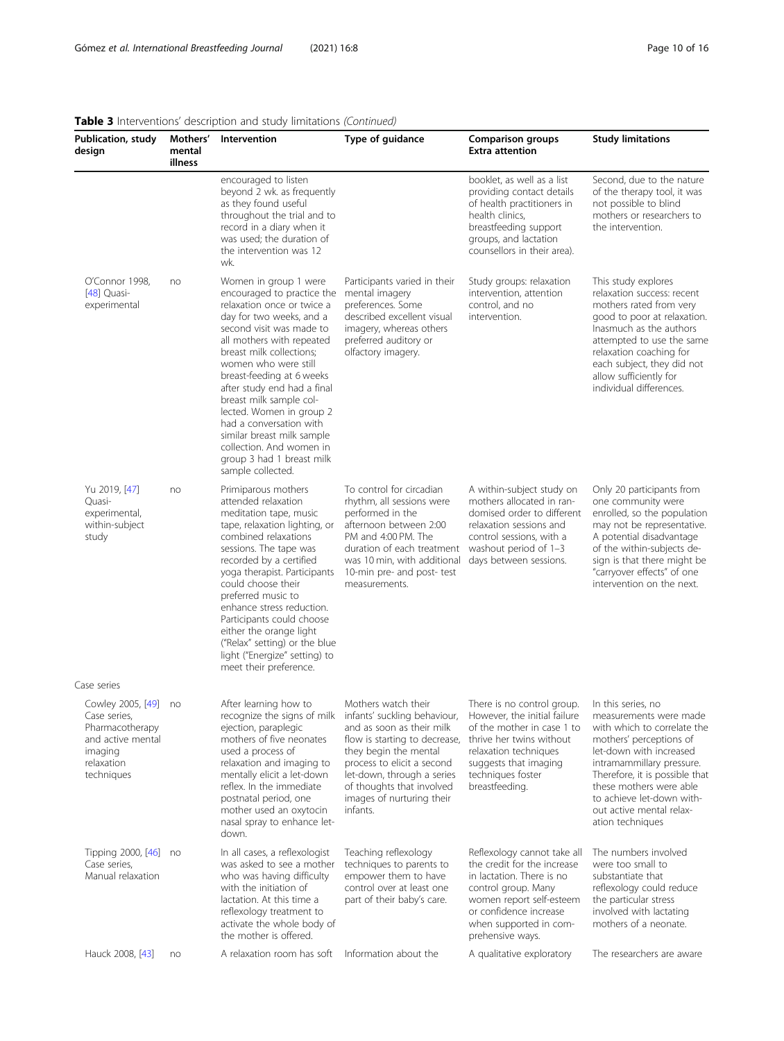| <b>Publication, study</b><br>design                                                                                 | Mothers'<br>mental<br>illness | Intervention                                                                                                                                                                                                                                                                                                                                                                                                                                                                         | Type of guidance                                                                                                                                                                                                                             | <b>Comparison groups</b><br><b>Extra attention</b>                                                                                                                                                                 | <b>Study limitations</b>                                                                                                                                                                                                                                                                                 |
|---------------------------------------------------------------------------------------------------------------------|-------------------------------|--------------------------------------------------------------------------------------------------------------------------------------------------------------------------------------------------------------------------------------------------------------------------------------------------------------------------------------------------------------------------------------------------------------------------------------------------------------------------------------|----------------------------------------------------------------------------------------------------------------------------------------------------------------------------------------------------------------------------------------------|--------------------------------------------------------------------------------------------------------------------------------------------------------------------------------------------------------------------|----------------------------------------------------------------------------------------------------------------------------------------------------------------------------------------------------------------------------------------------------------------------------------------------------------|
|                                                                                                                     |                               | encouraged to listen<br>beyond 2 wk. as frequently<br>as they found useful<br>throughout the trial and to<br>record in a diary when it<br>was used; the duration of<br>the intervention was 12<br>wk.                                                                                                                                                                                                                                                                                |                                                                                                                                                                                                                                              | booklet, as well as a list<br>providing contact details<br>of health practitioners in<br>health clinics,<br>breastfeeding support<br>groups, and lactation<br>counsellors in their area).                          | Second, due to the nature<br>of the therapy tool, it was<br>not possible to blind<br>mothers or researchers to<br>the intervention.                                                                                                                                                                      |
| O'Connor 1998,<br>$[48]$ Quasi-<br>experimental                                                                     | no                            | Women in group 1 were<br>encouraged to practice the<br>relaxation once or twice a<br>day for two weeks, and a<br>second visit was made to<br>all mothers with repeated<br>breast milk collections;<br>women who were still<br>breast-feeding at 6 weeks<br>after study end had a final<br>breast milk sample col-<br>lected. Women in group 2<br>had a conversation with<br>similar breast milk sample<br>collection. And women in<br>group 3 had 1 breast milk<br>sample collected. | Participants varied in their<br>mental imagery<br>preferences. Some<br>described excellent visual<br>imagery, whereas others<br>preferred auditory or<br>olfactory imagery.                                                                  | Study groups: relaxation<br>intervention, attention<br>control, and no<br>intervention.                                                                                                                            | This study explores<br>relaxation success: recent<br>mothers rated from very<br>good to poor at relaxation.<br>Inasmuch as the authors<br>attempted to use the same<br>relaxation coaching for<br>each subject, they did not<br>allow sufficiently for<br>individual differences.                        |
| Yu 2019, [47]<br>Quasi-<br>experimental,<br>within-subject<br>study                                                 | no                            | Primiparous mothers<br>attended relaxation<br>meditation tape, music<br>tape, relaxation lighting, or<br>combined relaxations<br>sessions. The tape was<br>recorded by a certified<br>yoga therapist. Participants<br>could choose their<br>preferred music to<br>enhance stress reduction.<br>Participants could choose<br>either the orange light<br>("Relax" setting) or the blue<br>light ("Energize" setting) to<br>meet their preference.                                      | To control for circadian<br>rhythm, all sessions were<br>performed in the<br>afternoon between 2:00<br>PM and 4:00 PM. The<br>duration of each treatment<br>was 10 min, with additional<br>10-min pre- and post- test<br>measurements.       | A within-subject study on<br>mothers allocated in ran-<br>domised order to different<br>relaxation sessions and<br>control sessions, with a<br>washout period of 1-3<br>days between sessions.                     | Only 20 participants from<br>one community were<br>enrolled, so the population<br>may not be representative.<br>A potential disadvantage<br>of the within-subjects de-<br>sign is that there might be<br>"carryover effects" of one<br>intervention on the next.                                         |
| Case series                                                                                                         |                               |                                                                                                                                                                                                                                                                                                                                                                                                                                                                                      |                                                                                                                                                                                                                                              |                                                                                                                                                                                                                    |                                                                                                                                                                                                                                                                                                          |
| Cowley 2005, [49] no<br>Case series,<br>Pharmacotherapy<br>and active mental<br>imaging<br>relaxation<br>techniques |                               | After learning how to<br>recognize the signs of milk infants' suckling behaviour,<br>ejection, paraplegic<br>mothers of five neonates<br>used a process of<br>relaxation and imaging to<br>mentally elicit a let-down<br>reflex. In the immediate<br>postnatal period, one<br>mother used an oxytocin<br>nasal spray to enhance let-<br>down.                                                                                                                                        | Mothers watch their<br>and as soon as their milk<br>flow is starting to decrease,<br>they begin the mental<br>process to elicit a second<br>let-down, through a series<br>of thoughts that involved<br>images of nurturing their<br>infants. | There is no control group.<br>However, the initial failure<br>of the mother in case 1 to<br>thrive her twins without<br>relaxation techniques<br>suggests that imaging<br>techniques foster<br>breastfeeding.      | In this series, no<br>measurements were made<br>with which to correlate the<br>mothers' perceptions of<br>let-down with increased<br>intramammillary pressure.<br>Therefore, it is possible that<br>these mothers were able<br>to achieve let-down with-<br>out active mental relax-<br>ation techniques |
| Tipping 2000, [46] no<br>Case series,<br>Manual relaxation                                                          |                               | In all cases, a reflexologist<br>was asked to see a mother<br>who was having difficulty<br>with the initiation of<br>lactation. At this time a<br>reflexology treatment to<br>activate the whole body of<br>the mother is offered.                                                                                                                                                                                                                                                   | Teaching reflexology<br>techniques to parents to<br>empower them to have<br>control over at least one<br>part of their baby's care.                                                                                                          | Reflexology cannot take all<br>the credit for the increase<br>in lactation. There is no<br>control group. Many<br>women report self-esteem<br>or confidence increase<br>when supported in com-<br>prehensive ways. | The numbers involved<br>were too small to<br>substantiate that<br>reflexology could reduce<br>the particular stress<br>involved with lactating<br>mothers of a neonate.                                                                                                                                  |
| Hauck 2008, [43]                                                                                                    | no                            | A relaxation room has soft                                                                                                                                                                                                                                                                                                                                                                                                                                                           | Information about the                                                                                                                                                                                                                        | A qualitative exploratory                                                                                                                                                                                          | The researchers are aware                                                                                                                                                                                                                                                                                |

# Table 3 Interventions' description and study limitations *(Continued)*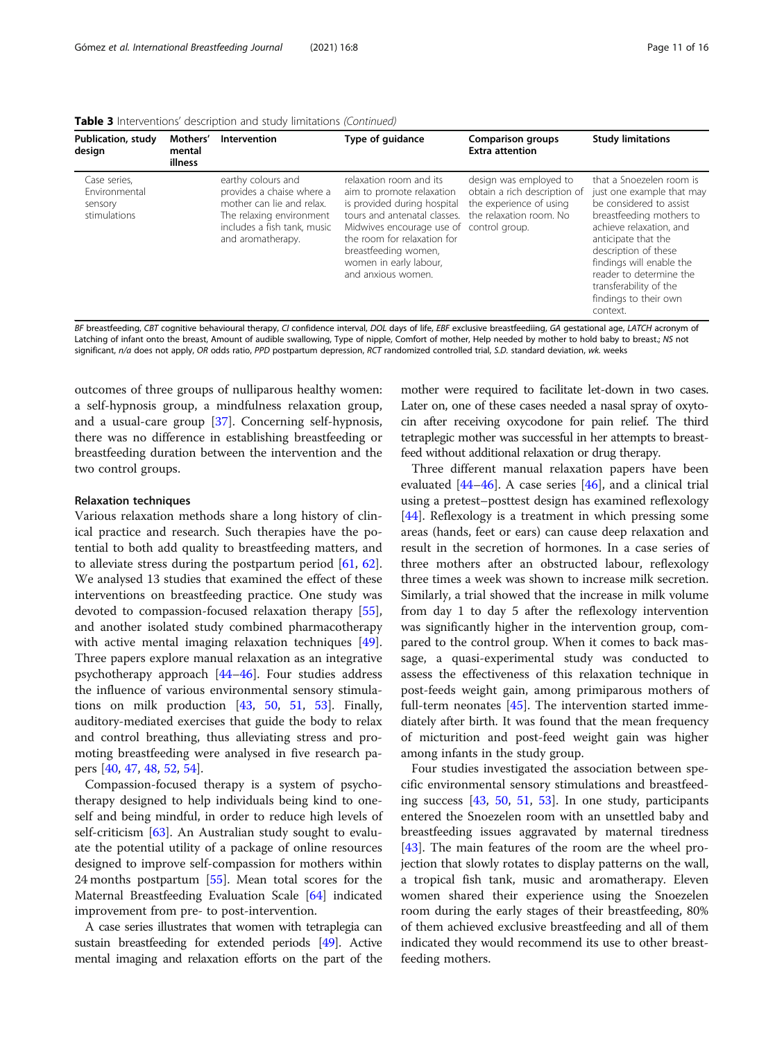| Publication, study<br>design                             | Mothers'<br>mental<br>illness | Intervention                                                                                                                                                 | Type of guidance                                                                                                                                                                                                                                                       | <b>Comparison groups</b><br><b>Extra attention</b>                                                           | <b>Study limitations</b>                                                                                                                                                                                                                                                                                     |
|----------------------------------------------------------|-------------------------------|--------------------------------------------------------------------------------------------------------------------------------------------------------------|------------------------------------------------------------------------------------------------------------------------------------------------------------------------------------------------------------------------------------------------------------------------|--------------------------------------------------------------------------------------------------------------|--------------------------------------------------------------------------------------------------------------------------------------------------------------------------------------------------------------------------------------------------------------------------------------------------------------|
| Case series.<br>Environmental<br>sensory<br>stimulations |                               | earthy colours and<br>provides a chaise where a<br>mother can lie and relax.<br>The relaxing environment<br>includes a fish tank, music<br>and aromatherapy. | relaxation room and its<br>aim to promote relaxation<br>is provided during hospital<br>tours and antenatal classes.<br>Midwives encourage use of control group.<br>the room for relaxation for<br>breastfeeding women,<br>women in early labour,<br>and anxious women. | design was employed to<br>obtain a rich description of<br>the experience of using<br>the relaxation room. No | that a Snoezelen room is<br>just one example that may<br>be considered to assist<br>breastfeeding mothers to<br>achieve relaxation, and<br>anticipate that the<br>description of these<br>findings will enable the<br>reader to determine the<br>transferability of the<br>findings to their own<br>context. |

Table 3 Interventions' description and study limitations (Continued)

BF breastfeeding, CBT cognitive behavioural therapy, CI confidence interval, DOL days of life, EBF exclusive breastfeediing, GA gestational age, LATCH acronym of Latching of infant onto the breast, Amount of audible swallowing, Type of nipple, Comfort of mother, Help needed by mother to hold baby to breast.; NS not significant, n/a does not apply, OR odds ratio, PPD postpartum depression, RCT randomized controlled trial, S.D. standard deviation, wk. weeks

outcomes of three groups of nulliparous healthy women: a self-hypnosis group, a mindfulness relaxation group, and a usual-care group [[37](#page-14-0)]. Concerning self-hypnosis, there was no difference in establishing breastfeeding or breastfeeding duration between the intervention and the two control groups.

#### Relaxation techniques

Various relaxation methods share a long history of clinical practice and research. Such therapies have the potential to both add quality to breastfeeding matters, and to alleviate stress during the postpartum period [\[61,](#page-14-0) [62](#page-14-0)]. We analysed 13 studies that examined the effect of these interventions on breastfeeding practice. One study was devoted to compassion-focused relaxation therapy [\[55](#page-14-0)], and another isolated study combined pharmacotherapy with active mental imaging relaxation techniques [\[49](#page-14-0)]. Three papers explore manual relaxation as an integrative psychotherapy approach [[44](#page-14-0)–[46](#page-14-0)]. Four studies address the influence of various environmental sensory stimulations on milk production [\[43,](#page-14-0) [50,](#page-14-0) [51](#page-14-0), [53\]](#page-14-0). Finally, auditory-mediated exercises that guide the body to relax and control breathing, thus alleviating stress and promoting breastfeeding were analysed in five research papers [[40,](#page-14-0) [47,](#page-14-0) [48,](#page-14-0) [52](#page-14-0), [54](#page-14-0)].

Compassion-focused therapy is a system of psychotherapy designed to help individuals being kind to oneself and being mindful, in order to reduce high levels of self-criticism [\[63\]](#page-14-0). An Australian study sought to evaluate the potential utility of a package of online resources designed to improve self-compassion for mothers within 24 months postpartum [[55](#page-14-0)]. Mean total scores for the Maternal Breastfeeding Evaluation Scale [\[64](#page-14-0)] indicated improvement from pre- to post-intervention.

A case series illustrates that women with tetraplegia can sustain breastfeeding for extended periods [\[49](#page-14-0)]. Active mental imaging and relaxation efforts on the part of the mother were required to facilitate let-down in two cases. Later on, one of these cases needed a nasal spray of oxytocin after receiving oxycodone for pain relief. The third tetraplegic mother was successful in her attempts to breastfeed without additional relaxation or drug therapy.

Three different manual relaxation papers have been evaluated  $[44-46]$  $[44-46]$  $[44-46]$  $[44-46]$  $[44-46]$ . A case series  $[46]$ , and a clinical trial using a pretest–posttest design has examined reflexology [[44\]](#page-14-0). Reflexology is a treatment in which pressing some areas (hands, feet or ears) can cause deep relaxation and result in the secretion of hormones. In a case series of three mothers after an obstructed labour, reflexology three times a week was shown to increase milk secretion. Similarly, a trial showed that the increase in milk volume from day 1 to day 5 after the reflexology intervention was significantly higher in the intervention group, compared to the control group. When it comes to back massage, a quasi-experimental study was conducted to assess the effectiveness of this relaxation technique in post-feeds weight gain, among primiparous mothers of full-term neonates [[45\]](#page-14-0). The intervention started immediately after birth. It was found that the mean frequency of micturition and post-feed weight gain was higher among infants in the study group.

Four studies investigated the association between specific environmental sensory stimulations and breastfeeding success [[43](#page-14-0), [50](#page-14-0), [51,](#page-14-0) [53](#page-14-0)]. In one study, participants entered the Snoezelen room with an unsettled baby and breastfeeding issues aggravated by maternal tiredness [[43\]](#page-14-0). The main features of the room are the wheel projection that slowly rotates to display patterns on the wall, a tropical fish tank, music and aromatherapy. Eleven women shared their experience using the Snoezelen room during the early stages of their breastfeeding, 80% of them achieved exclusive breastfeeding and all of them indicated they would recommend its use to other breastfeeding mothers.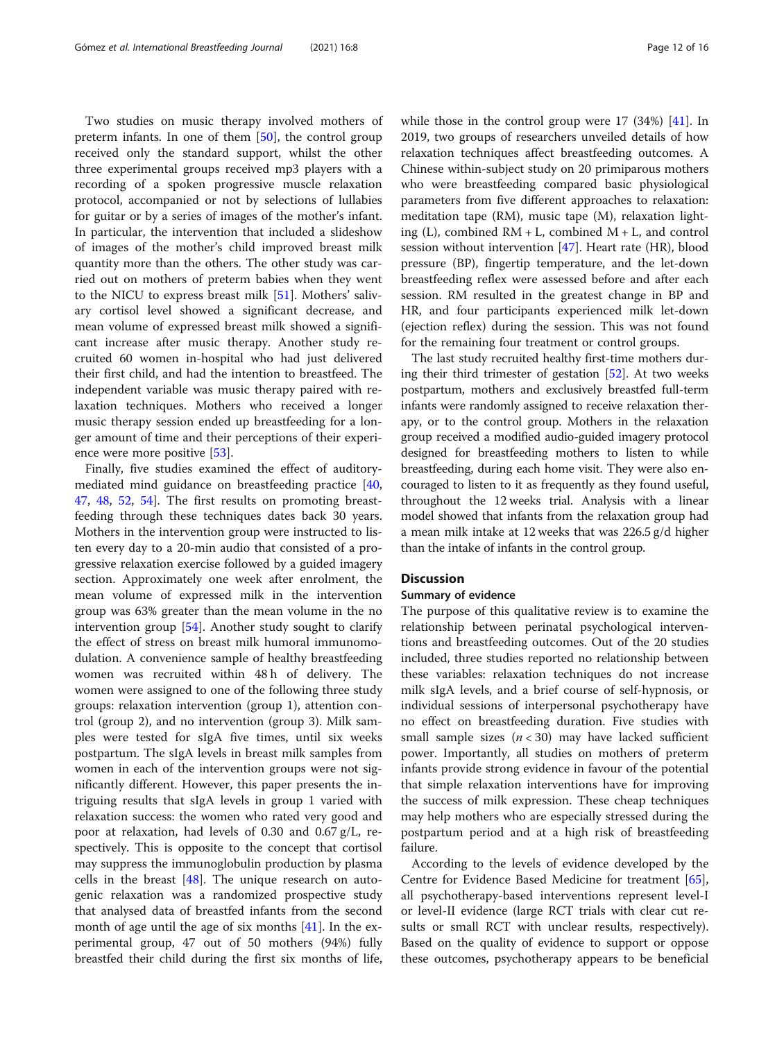Two studies on music therapy involved mothers of preterm infants. In one of them [[50](#page-14-0)], the control group received only the standard support, whilst the other three experimental groups received mp3 players with a recording of a spoken progressive muscle relaxation protocol, accompanied or not by selections of lullabies for guitar or by a series of images of the mother's infant. In particular, the intervention that included a slideshow of images of the mother's child improved breast milk quantity more than the others. The other study was carried out on mothers of preterm babies when they went to the NICU to express breast milk [[51](#page-14-0)]. Mothers' salivary cortisol level showed a significant decrease, and mean volume of expressed breast milk showed a significant increase after music therapy. Another study recruited 60 women in-hospital who had just delivered their first child, and had the intention to breastfeed. The independent variable was music therapy paired with relaxation techniques. Mothers who received a longer music therapy session ended up breastfeeding for a longer amount of time and their perceptions of their experience were more positive [\[53](#page-14-0)].

Finally, five studies examined the effect of auditorymediated mind guidance on breastfeeding practice [[40](#page-14-0), [47,](#page-14-0) [48](#page-14-0), [52,](#page-14-0) [54](#page-14-0)]. The first results on promoting breastfeeding through these techniques dates back 30 years. Mothers in the intervention group were instructed to listen every day to a 20-min audio that consisted of a progressive relaxation exercise followed by a guided imagery section. Approximately one week after enrolment, the mean volume of expressed milk in the intervention group was 63% greater than the mean volume in the no intervention group [[54\]](#page-14-0). Another study sought to clarify the effect of stress on breast milk humoral immunomodulation. A convenience sample of healthy breastfeeding women was recruited within 48 h of delivery. The women were assigned to one of the following three study groups: relaxation intervention (group 1), attention control (group 2), and no intervention (group 3). Milk samples were tested for sIgA five times, until six weeks postpartum. The sIgA levels in breast milk samples from women in each of the intervention groups were not significantly different. However, this paper presents the intriguing results that sIgA levels in group 1 varied with relaxation success: the women who rated very good and poor at relaxation, had levels of 0.30 and 0.67 g/L, respectively. This is opposite to the concept that cortisol may suppress the immunoglobulin production by plasma cells in the breast  $[48]$  $[48]$  $[48]$ . The unique research on autogenic relaxation was a randomized prospective study that analysed data of breastfed infants from the second month of age until the age of six months  $[41]$  $[41]$ . In the experimental group, 47 out of 50 mothers (94%) fully breastfed their child during the first six months of life, while those in the control group were 17 (34%) [\[41\]](#page-14-0). In 2019, two groups of researchers unveiled details of how relaxation techniques affect breastfeeding outcomes. A Chinese within-subject study on 20 primiparous mothers who were breastfeeding compared basic physiological parameters from five different approaches to relaxation: meditation tape (RM), music tape (M), relaxation lighting (L), combined  $RM + L$ , combined  $M + L$ , and control session without intervention [\[47\]](#page-14-0). Heart rate (HR), blood pressure (BP), fingertip temperature, and the let-down breastfeeding reflex were assessed before and after each session. RM resulted in the greatest change in BP and HR, and four participants experienced milk let-down (ejection reflex) during the session. This was not found for the remaining four treatment or control groups.

The last study recruited healthy first-time mothers during their third trimester of gestation [[52](#page-14-0)]. At two weeks postpartum, mothers and exclusively breastfed full-term infants were randomly assigned to receive relaxation therapy, or to the control group. Mothers in the relaxation group received a modified audio-guided imagery protocol designed for breastfeeding mothers to listen to while breastfeeding, during each home visit. They were also encouraged to listen to it as frequently as they found useful, throughout the 12 weeks trial. Analysis with a linear model showed that infants from the relaxation group had a mean milk intake at 12 weeks that was 226.5 g/d higher than the intake of infants in the control group.

#### **Discussion**

#### Summary of evidence

The purpose of this qualitative review is to examine the relationship between perinatal psychological interventions and breastfeeding outcomes. Out of the 20 studies included, three studies reported no relationship between these variables: relaxation techniques do not increase milk sIgA levels, and a brief course of self-hypnosis, or individual sessions of interpersonal psychotherapy have no effect on breastfeeding duration. Five studies with small sample sizes  $(n < 30)$  may have lacked sufficient power. Importantly, all studies on mothers of preterm infants provide strong evidence in favour of the potential that simple relaxation interventions have for improving the success of milk expression. These cheap techniques may help mothers who are especially stressed during the postpartum period and at a high risk of breastfeeding failure.

According to the levels of evidence developed by the Centre for Evidence Based Medicine for treatment [\[65](#page-15-0)], all psychotherapy-based interventions represent level-I or level-II evidence (large RCT trials with clear cut results or small RCT with unclear results, respectively). Based on the quality of evidence to support or oppose these outcomes, psychotherapy appears to be beneficial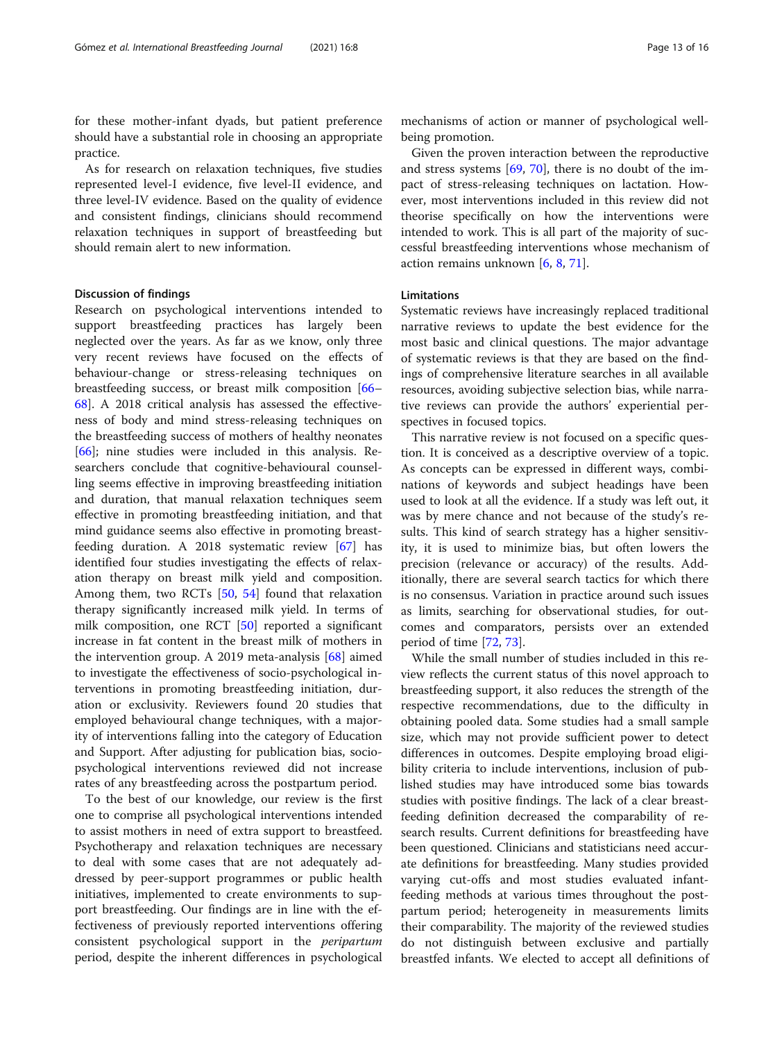for these mother-infant dyads, but patient preference should have a substantial role in choosing an appropriate practice.

As for research on relaxation techniques, five studies represented level-I evidence, five level-II evidence, and three level-IV evidence. Based on the quality of evidence and consistent findings, clinicians should recommend relaxation techniques in support of breastfeeding but should remain alert to new information.

#### Discussion of findings

Research on psychological interventions intended to support breastfeeding practices has largely been neglected over the years. As far as we know, only three very recent reviews have focused on the effects of behaviour-change or stress-releasing techniques on breastfeeding success, or breast milk composition [[66](#page-15-0)– [68\]](#page-15-0). A 2018 critical analysis has assessed the effectiveness of body and mind stress-releasing techniques on the breastfeeding success of mothers of healthy neonates [[66\]](#page-15-0); nine studies were included in this analysis. Researchers conclude that cognitive-behavioural counselling seems effective in improving breastfeeding initiation and duration, that manual relaxation techniques seem effective in promoting breastfeeding initiation, and that mind guidance seems also effective in promoting breastfeeding duration. A 2018 systematic review [[67\]](#page-15-0) has identified four studies investigating the effects of relaxation therapy on breast milk yield and composition. Among them, two RCTs [\[50](#page-14-0), [54](#page-14-0)] found that relaxation therapy significantly increased milk yield. In terms of milk composition, one RCT [[50\]](#page-14-0) reported a significant increase in fat content in the breast milk of mothers in the intervention group. A 2019 meta-analysis [[68](#page-15-0)] aimed to investigate the effectiveness of socio-psychological interventions in promoting breastfeeding initiation, duration or exclusivity. Reviewers found 20 studies that employed behavioural change techniques, with a majority of interventions falling into the category of Education and Support. After adjusting for publication bias, sociopsychological interventions reviewed did not increase rates of any breastfeeding across the postpartum period.

To the best of our knowledge, our review is the first one to comprise all psychological interventions intended to assist mothers in need of extra support to breastfeed. Psychotherapy and relaxation techniques are necessary to deal with some cases that are not adequately addressed by peer-support programmes or public health initiatives, implemented to create environments to support breastfeeding. Our findings are in line with the effectiveness of previously reported interventions offering consistent psychological support in the peripartum period, despite the inherent differences in psychological

mechanisms of action or manner of psychological wellbeing promotion.

Given the proven interaction between the reproductive and stress systems [\[69](#page-15-0), [70](#page-15-0)], there is no doubt of the impact of stress-releasing techniques on lactation. However, most interventions included in this review did not theorise specifically on how the interventions were intended to work. This is all part of the majority of successful breastfeeding interventions whose mechanism of action remains unknown [[6,](#page-13-0) [8,](#page-13-0) [71](#page-15-0)].

# Limitations

Systematic reviews have increasingly replaced traditional narrative reviews to update the best evidence for the most basic and clinical questions. The major advantage of systematic reviews is that they are based on the findings of comprehensive literature searches in all available resources, avoiding subjective selection bias, while narrative reviews can provide the authors' experiential perspectives in focused topics.

This narrative review is not focused on a specific question. It is conceived as a descriptive overview of a topic. As concepts can be expressed in different ways, combinations of keywords and subject headings have been used to look at all the evidence. If a study was left out, it was by mere chance and not because of the study's results. This kind of search strategy has a higher sensitivity, it is used to minimize bias, but often lowers the precision (relevance or accuracy) of the results. Additionally, there are several search tactics for which there is no consensus. Variation in practice around such issues as limits, searching for observational studies, for outcomes and comparators, persists over an extended period of time [\[72,](#page-15-0) [73\]](#page-15-0).

While the small number of studies included in this review reflects the current status of this novel approach to breastfeeding support, it also reduces the strength of the respective recommendations, due to the difficulty in obtaining pooled data. Some studies had a small sample size, which may not provide sufficient power to detect differences in outcomes. Despite employing broad eligibility criteria to include interventions, inclusion of published studies may have introduced some bias towards studies with positive findings. The lack of a clear breastfeeding definition decreased the comparability of research results. Current definitions for breastfeeding have been questioned. Clinicians and statisticians need accurate definitions for breastfeeding. Many studies provided varying cut-offs and most studies evaluated infantfeeding methods at various times throughout the postpartum period; heterogeneity in measurements limits their comparability. The majority of the reviewed studies do not distinguish between exclusive and partially breastfed infants. We elected to accept all definitions of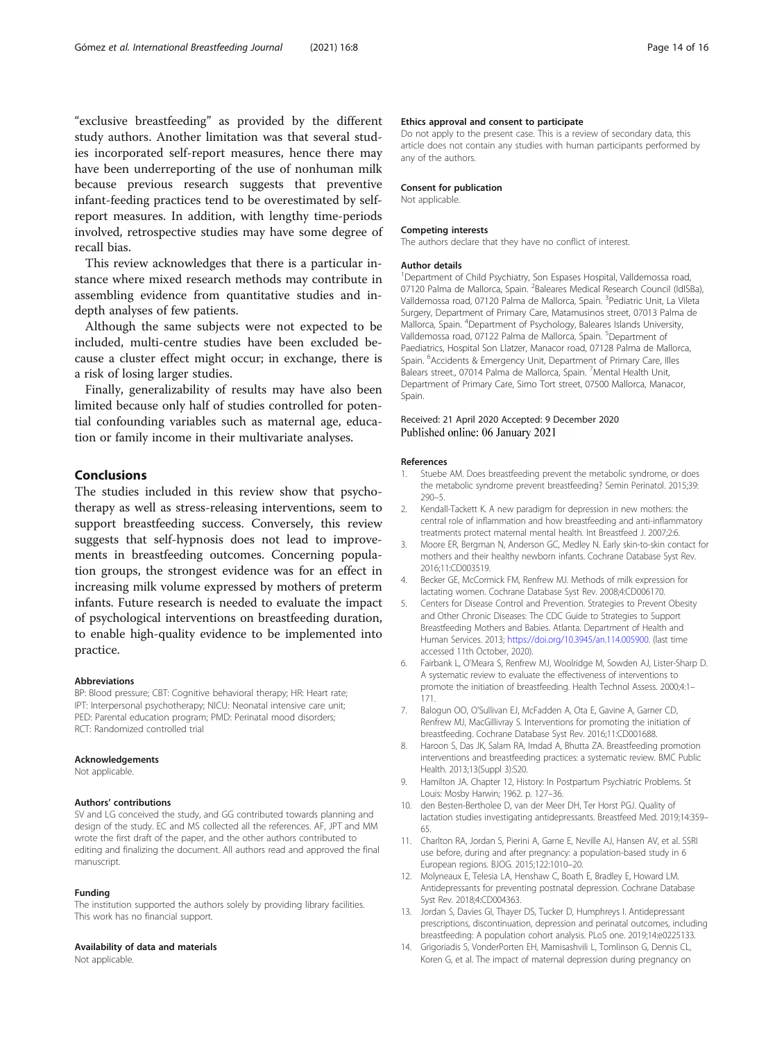<span id="page-13-0"></span>"exclusive breastfeeding" as provided by the different study authors. Another limitation was that several studies incorporated self-report measures, hence there may have been underreporting of the use of nonhuman milk because previous research suggests that preventive infant-feeding practices tend to be overestimated by selfreport measures. In addition, with lengthy time-periods involved, retrospective studies may have some degree of recall bias.

This review acknowledges that there is a particular instance where mixed research methods may contribute in assembling evidence from quantitative studies and indepth analyses of few patients.

Although the same subjects were not expected to be included, multi-centre studies have been excluded because a cluster effect might occur; in exchange, there is a risk of losing larger studies.

Finally, generalizability of results may have also been limited because only half of studies controlled for potential confounding variables such as maternal age, education or family income in their multivariate analyses.

#### Conclusions

The studies included in this review show that psychotherapy as well as stress-releasing interventions, seem to support breastfeeding success. Conversely, this review suggests that self-hypnosis does not lead to improvements in breastfeeding outcomes. Concerning population groups, the strongest evidence was for an effect in increasing milk volume expressed by mothers of preterm infants. Future research is needed to evaluate the impact of psychological interventions on breastfeeding duration, to enable high-quality evidence to be implemented into practice.

#### Abbreviations

BP: Blood pressure; CBT: Cognitive behavioral therapy; HR: Heart rate; IPT: Interpersonal psychotherapy; NICU: Neonatal intensive care unit; PED: Parental education program; PMD: Perinatal mood disorders; RCT: Randomized controlled trial

#### Acknowledgements

Not applicable

#### Authors' contributions

SV and LG conceived the study, and GG contributed towards planning and design of the study. EC and MS collected all the references. AF, JPT and MM wrote the first draft of the paper, and the other authors contributed to editing and finalizing the document. All authors read and approved the final manuscript.

#### Funding

The institution supported the authors solely by providing library facilities. This work has no financial support.

#### Availability of data and materials

Not applicable.

#### Ethics approval and consent to participate

Do not apply to the present case. This is a review of secondary data, this article does not contain any studies with human participants performed by any of the authors.

#### Consent for publication

Not applicable.

#### Competing interests

The authors declare that they have no conflict of interest.

#### Author details

<sup>1</sup>Department of Child Psychiatry, Son Espases Hospital, Valldemossa road, 07120 Palma de Mallorca, Spain. <sup>2</sup>Baleares Medical Research Council (IdISBa) Valldemossa road, 07120 Palma de Mallorca, Spain. <sup>3</sup>Pediatric Unit, La Vileta Surgery, Department of Primary Care, Matamusinos street, 07013 Palma de Mallorca, Spain. <sup>4</sup> Department of Psychology, Baleares Islands University, Valldemossa road, 07122 Palma de Mallorca, Spain. <sup>5</sup>Department of Paediatrics, Hospital Son Llatzer, Manacor road, 07128 Palma de Mallorca, Spain. <sup>6</sup>Accidents & Emergency Unit, Department of Primary Care, Illes Balears street., 07014 Palma de Mallorca, Spain. <sup>7</sup> Mental Health Unit, Department of Primary Care, Simo Tort street, 07500 Mallorca, Manacor, Spain.

#### Received: 21 April 2020 Accepted: 9 December 2020 Published online: 06 January 2021

#### References

- 1. Stuebe AM. Does breastfeeding prevent the metabolic syndrome, or does the metabolic syndrome prevent breastfeeding? Semin Perinatol. 2015;39: 290–5.
- 2. Kendall-Tackett K. A new paradigm for depression in new mothers: the central role of inflammation and how breastfeeding and anti-inflammatory treatments protect maternal mental health. Int Breastfeed J. 2007;2:6.
- 3. Moore ER, Bergman N, Anderson GC, Medley N. Early skin-to-skin contact for mothers and their healthy newborn infants. Cochrane Database Syst Rev. 2016;11:CD003519.
- 4. Becker GE, McCormick FM, Renfrew MJ. Methods of milk expression for lactating women. Cochrane Database Syst Rev. 2008;4:CD006170.
- 5. Centers for Disease Control and Prevention. Strategies to Prevent Obesity and Other Chronic Diseases: The CDC Guide to Strategies to Support Breastfeeding Mothers and Babies. Atlanta. Department of Health and Human Services. 2013; [https://doi.org/10.3945/an.114.005900.](https://doi.org/10.3945/an.114.005900) (last time accessed 11th October, 2020).
- 6. Fairbank L, O'Meara S, Renfrew MJ, Woolridge M, Sowden AJ, Lister-Sharp D. A systematic review to evaluate the effectiveness of interventions to promote the initiation of breastfeeding. Health Technol Assess. 2000;4:1– 171.
- 7. Balogun OO, O'Sullivan EJ, McFadden A, Ota E, Gavine A, Garner CD, Renfrew MJ, MacGillivray S. Interventions for promoting the initiation of breastfeeding. Cochrane Database Syst Rev. 2016;11:CD001688.
- 8. Haroon S, Das JK, Salam RA, Imdad A, Bhutta ZA. Breastfeeding promotion interventions and breastfeeding practices: a systematic review. BMC Public Health. 2013;13(Suppl 3):S20.
- 9. Hamilton JA. Chapter 12, History: In Postpartum Psychiatric Problems. St Louis: Mosby Harwin; 1962. p. 127–36.
- 10. den Besten-Bertholee D, van der Meer DH, Ter Horst PGJ. Quality of lactation studies investigating antidepressants. Breastfeed Med. 2019;14:359– 65.
- 11. Charlton RA, Jordan S, Pierini A, Garne E, Neville AJ, Hansen AV, et al. SSRI use before, during and after pregnancy: a population-based study in 6 European regions. BJOG. 2015;122:1010–20.
- 12. Molyneaux E, Telesia LA, Henshaw C, Boath E, Bradley E, Howard LM. Antidepressants for preventing postnatal depression. Cochrane Database Syst Rev. 2018;4:CD004363.
- 13. Jordan S, Davies GI, Thayer DS, Tucker D, Humphreys I. Antidepressant prescriptions, discontinuation, depression and perinatal outcomes, including breastfeeding: A population cohort analysis. PLoS one. 2019;14:e0225133.
- 14. Grigoriadis S, VonderPorten EH, Mamisashvili L, Tomlinson G, Dennis CL, Koren G, et al. The impact of maternal depression during pregnancy on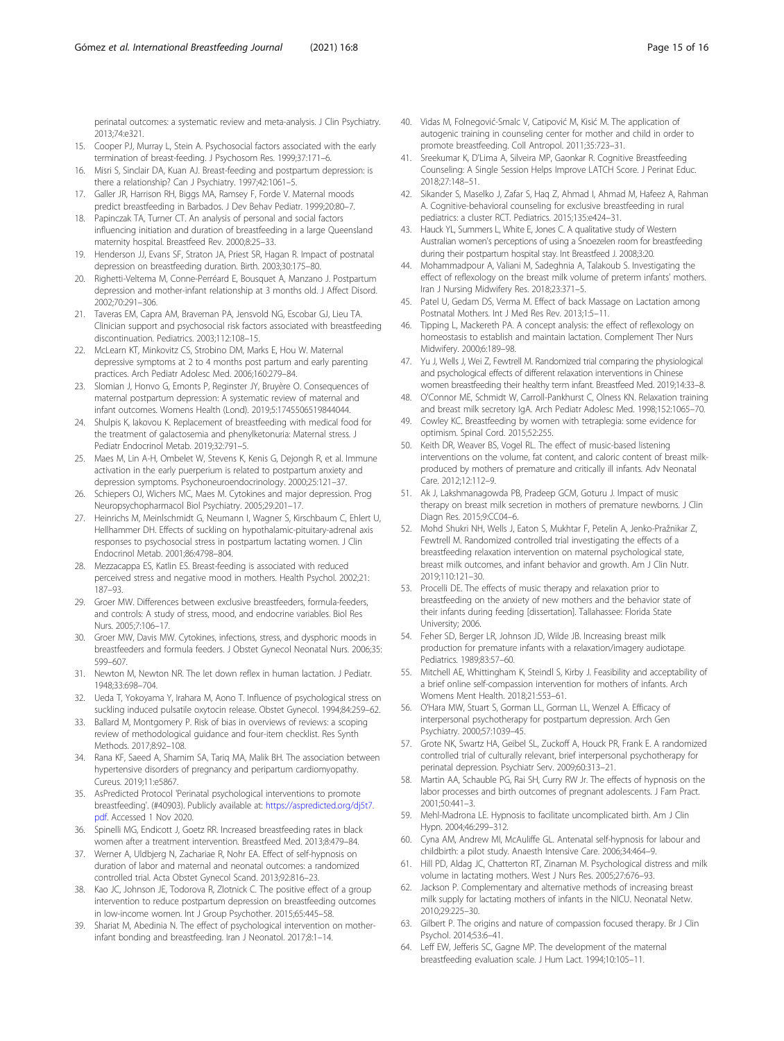<span id="page-14-0"></span>perinatal outcomes: a systematic review and meta-analysis. J Clin Psychiatry. 2013;74:e321.

- 15. Cooper PJ, Murray L, Stein A. Psychosocial factors associated with the early termination of breast-feeding. J Psychosom Res. 1999;37:171–6.
- 16. Misri S, Sinclair DA, Kuan AJ. Breast-feeding and postpartum depression: is there a relationship? Can J Psychiatry. 1997;42:1061–5.
- 17. Galler JR, Harrison RH, Biggs MA, Ramsey F, Forde V. Maternal moods predict breastfeeding in Barbados. J Dev Behav Pediatr. 1999;20:80–7.
- 18. Papinczak TA, Turner CT. An analysis of personal and social factors influencing initiation and duration of breastfeeding in a large Queensland maternity hospital. Breastfeed Rev. 2000;8:25–33.
- 19. Henderson JJ, Evans SF, Straton JA, Priest SR, Hagan R. Impact of postnatal depression on breastfeeding duration. Birth. 2003;30:175–80.
- 20. Righetti-Veltema M, Conne-Perréard E, Bousquet A, Manzano J. Postpartum depression and mother-infant relationship at 3 months old. J Affect Disord. 2002;70:291–306.
- 21. Taveras EM, Capra AM, Braveman PA, Jensvold NG, Escobar GJ, Lieu TA. Clinician support and psychosocial risk factors associated with breastfeeding discontinuation. Pediatrics. 2003;112:108–15.
- 22. McLearn KT, Minkovitz CS, Strobino DM, Marks E, Hou W. Maternal depressive symptoms at 2 to 4 months post partum and early parenting practices. Arch Pediatr Adolesc Med. 2006;160:279–84.
- 23. Slomian J, Honvo G, Emonts P, Reginster JY, Bruyère O. Consequences of maternal postpartum depression: A systematic review of maternal and infant outcomes. Womens Health (Lond). 2019;5:1745506519844044.
- 24. Shulpis K, Iakovou K. Replacement of breastfeeding with medical food for the treatment of galactosemia and phenylketonuria: Maternal stress. J Pediatr Endocrinol Metab. 2019;32:791–5.
- 25. Maes M, Lin A-H, Ombelet W, Stevens K, Kenis G, Dejongh R, et al. Immune activation in the early puerperium is related to postpartum anxiety and depression symptoms. Psychoneuroendocrinology. 2000;25:121–37.
- 26. Schiepers OJ, Wichers MC, Maes M. Cytokines and major depression. Prog Neuropsychopharmacol Biol Psychiatry. 2005;29:201–17.
- 27. Heinrichs M, Meinlschmidt G, Neumann I, Wagner S, Kirschbaum C, Ehlert U, Hellhammer DH. Effects of suckling on hypothalamic-pituitary-adrenal axis responses to psychosocial stress in postpartum lactating women. J Clin Endocrinol Metab. 2001;86:4798–804.
- 28. Mezzacappa ES, Katlin ES. Breast-feeding is associated with reduced perceived stress and negative mood in mothers. Health Psychol. 2002;21: 187–93.
- 29. Groer MW. Differences between exclusive breastfeeders, formula-feeders, and controls: A study of stress, mood, and endocrine variables. Biol Res Nurs. 2005;7:106–17.
- 30. Groer MW, Davis MW. Cytokines, infections, stress, and dysphoric moods in breastfeeders and formula feeders. J Obstet Gynecol Neonatal Nurs. 2006;35: 599–607.
- 31. Newton M, Newton NR. The let down reflex in human lactation. J Pediatr. 1948;33:698–704.
- 32. Ueda T, Yokoyama Y, Irahara M, Aono T. Influence of psychological stress on suckling induced pulsatile oxytocin release. Obstet Gynecol. 1994;84:259–62.
- 33. Ballard M, Montgomery P. Risk of bias in overviews of reviews: a scoping review of methodological guidance and four-item checklist. Res Synth Methods. 2017;8:92–108.
- 34. Rana KF, Saeed A, Shamim SA, Tariq MA, Malik BH. The association between hypertensive disorders of pregnancy and peripartum cardiomyopathy. Cureus. 2019;11:e5867.
- 35. AsPredicted Protocol 'Perinatal psychological interventions to promote breastfeeding'. (#40903). Publicly available at: [https://aspredicted.org/dj5t7.](https://aspredicted.org/dj5t7.pdf) [pdf](https://aspredicted.org/dj5t7.pdf). Accessed 1 Nov 2020.
- 36. Spinelli MG, Endicott J, Goetz RR. Increased breastfeeding rates in black women after a treatment intervention. Breastfeed Med. 2013;8:479–84.
- 37. Werner A, Uldbjerg N, Zachariae R, Nohr EA. Effect of self-hypnosis on duration of labor and maternal and neonatal outcomes: a randomized controlled trial. Acta Obstet Gynecol Scand. 2013;92:816–23.
- 38. Kao JC, Johnson JE, Todorova R, Zlotnick C. The positive effect of a group intervention to reduce postpartum depression on breastfeeding outcomes in low-income women. Int J Group Psychother. 2015;65:445–58.
- 39. Shariat M, Abedinia N. The effect of psychological intervention on motherinfant bonding and breastfeeding. Iran J Neonatol. 2017;8:1–14.
- 40. Vidas M, Folnegović-Smalc V, Catipović M, Kisić M. The application of autogenic training in counseling center for mother and child in order to promote breastfeeding. Coll Antropol. 2011;35:723–31.
- 41. Sreekumar K, D'Lima A, Silveira MP, Gaonkar R. Cognitive Breastfeeding Counseling: A Single Session Helps Improve LATCH Score. J Perinat Educ. 2018;27:148–51.
- 42. Sikander S, Maselko J, Zafar S, Haq Z, Ahmad I, Ahmad M, Hafeez A, Rahman A. Cognitive-behavioral counseling for exclusive breastfeeding in rural pediatrics: a cluster RCT. Pediatrics. 2015;135:e424–31.
- 43. Hauck YL, Summers L, White E, Jones C. A qualitative study of Western Australian women's perceptions of using a Snoezelen room for breastfeeding during their postpartum hospital stay. Int Breastfeed J. 2008;3:20.
- 44. Mohammadpour A, Valiani M, Sadeghnia A, Talakoub S. Investigating the effect of reflexology on the breast milk volume of preterm infants' mothers. Iran J Nursing Midwifery Res. 2018;23:371–5.
- 45. Patel U, Gedam DS, Verma M. Effect of back Massage on Lactation among Postnatal Mothers. Int J Med Res Rev. 2013;1:5–11.
- 46. Tipping L, Mackereth PA. A concept analysis: the effect of reflexology on homeostasis to establish and maintain lactation. Complement Ther Nurs Midwifery. 2000;6:189–98.
- 47. Yu J, Wells J, Wei Z, Fewtrell M. Randomized trial comparing the physiological and psychological effects of different relaxation interventions in Chinese women breastfeeding their healthy term infant. Breastfeed Med. 2019;14:33–8.
- 48. O'Connor ME, Schmidt W, Carroll-Pankhurst C, Olness KN. Relaxation training and breast milk secretory IgA. Arch Pediatr Adolesc Med. 1998;152:1065–70.
- 49. Cowley KC. Breastfeeding by women with tetraplegia: some evidence for optimism. Spinal Cord. 2015;52:255.
- 50. Keith DR, Weaver BS, Vogel RL. The effect of music-based listening interventions on the volume, fat content, and caloric content of breast milkproduced by mothers of premature and critically ill infants. Adv Neonatal Care. 2012;12:112–9.
- 51. Ak J, Lakshmanagowda PB, Pradeep GCM, Goturu J. Impact of music therapy on breast milk secretion in mothers of premature newborns. J Clin Diagn Res. 2015;9:CC04–6.
- 52. Mohd Shukri NH, Wells J, Eaton S, Mukhtar F, Petelin A, Jenko-Pražnikar Z, Fewtrell M. Randomized controlled trial investigating the effects of a breastfeeding relaxation intervention on maternal psychological state, breast milk outcomes, and infant behavior and growth. Am J Clin Nutr. 2019;110:121–30.
- 53. Procelli DE. The effects of music therapy and relaxation prior to breastfeeding on the anxiety of new mothers and the behavior state of their infants during feeding [dissertation]. Tallahassee: Florida State University; 2006.
- 54. Feher SD, Berger LR, Johnson JD, Wilde JB. Increasing breast milk production for premature infants with a relaxation/imagery audiotape. Pediatrics. 1989;83:57–60.
- 55. Mitchell AE, Whittingham K, Steindl S, Kirby J. Feasibility and acceptability of a brief online self-compassion intervention for mothers of infants. Arch Womens Ment Health. 2018;21:553–61.
- 56. O'Hara MW, Stuart S, Gorman LL, Gorman LL, Wenzel A. Efficacy of interpersonal psychotherapy for postpartum depression. Arch Gen Psychiatry. 2000;57:1039–45.
- 57. Grote NK, Swartz HA, Geibel SL, Zuckoff A, Houck PR, Frank E. A randomized controlled trial of culturally relevant, brief interpersonal psychotherapy for perinatal depression. Psychiatr Serv. 2009;60:313–21.
- 58. Martin AA, Schauble PG, Rai SH, Curry RW Jr. The effects of hypnosis on the labor processes and birth outcomes of pregnant adolescents. J Fam Pract. 2001;50:441–3.
- 59. Mehl-Madrona LE. Hypnosis to facilitate uncomplicated birth. Am J Clin Hypn. 2004;46:299–312.
- Cyna AM, Andrew MI, McAuliffe GL. Antenatal self-hypnosis for labour and childbirth: a pilot study. Anaesth Intensive Care. 2006;34:464–9.
- 61. Hill PD, Aldag JC, Chatterton RT, Zinaman M. Psychological distress and milk volume in lactating mothers. West J Nurs Res. 2005;27:676–93.
- 62. Jackson P. Complementary and alternative methods of increasing breast milk supply for lactating mothers of infants in the NICU. Neonatal Netw. 2010;29:225–30.
- 63. Gilbert P. The origins and nature of compassion focused therapy. Br J Clin Psychol. 2014;53:6–41.
- 64. Leff EW, Jefferis SC, Gagne MP. The development of the maternal breastfeeding evaluation scale. J Hum Lact. 1994;10:105–11.